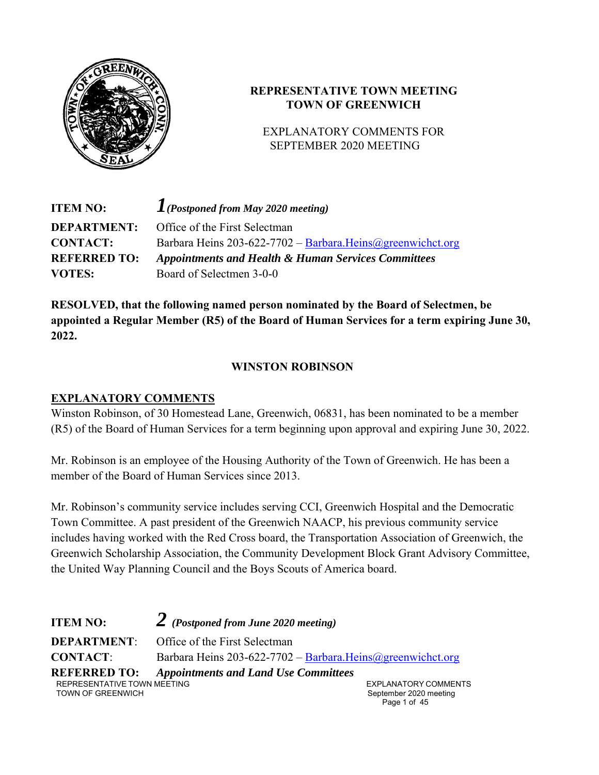

# **REPRESENTATIVE TOWN MEETING TOWN OF GREENWICH**

## EXPLANATORY COMMENTS FOR SEPTEMBER 2020 MEETING

| <b>ITEM NO:</b>     | $\Gamma$ (Postponed from May 2020 meeting)                     |
|---------------------|----------------------------------------------------------------|
| <b>DEPARTMENT:</b>  | Office of the First Selectman                                  |
| <b>CONTACT:</b>     | Barbara Heins 203-622-7702 - Barbara. Heins @greenwichct.org   |
| <b>REFERRED TO:</b> | <b>Appointments and Health &amp; Human Services Committees</b> |
| <b>VOTES:</b>       | Board of Selectmen 3-0-0                                       |

**RESOLVED, that the following named person nominated by the Board of Selectmen, be appointed a Regular Member (R5) of the Board of Human Services for a term expiring June 30, 2022.** 

# **WINSTON ROBINSON**

# **EXPLANATORY COMMENTS**

Winston Robinson, of 30 Homestead Lane, Greenwich, 06831, has been nominated to be a member (R5) of the Board of Human Services for a term beginning upon approval and expiring June 30, 2022.

Mr. Robinson is an employee of the Housing Authority of the Town of Greenwich. He has been a member of the Board of Human Services since 2013.

Mr. Robinson's community service includes serving CCI, Greenwich Hospital and the Democratic Town Committee. A past president of the Greenwich NAACP, his previous community service includes having worked with the Red Cross board, the Transportation Association of Greenwich, the Greenwich Scholarship Association, the Community Development Block Grant Advisory Committee, the United Way Planning Council and the Boys Scouts of America board.

REPRESENTATIVE TOWN MEETING TOWN OF GREENWICH September 2020 meeting **ITEM NO:** *2 (Postponed from June 2020 meeting)* **DEPARTMENT:** Office of the First Selectman **CONTACT:** Barbara Heins 203-622-7702 – Barbara.Heins@greenwichct.org **REFERRED TO:** *Appointments and Land Use Committees* 

EXPLANATORY COMMENTS Page 1 of 45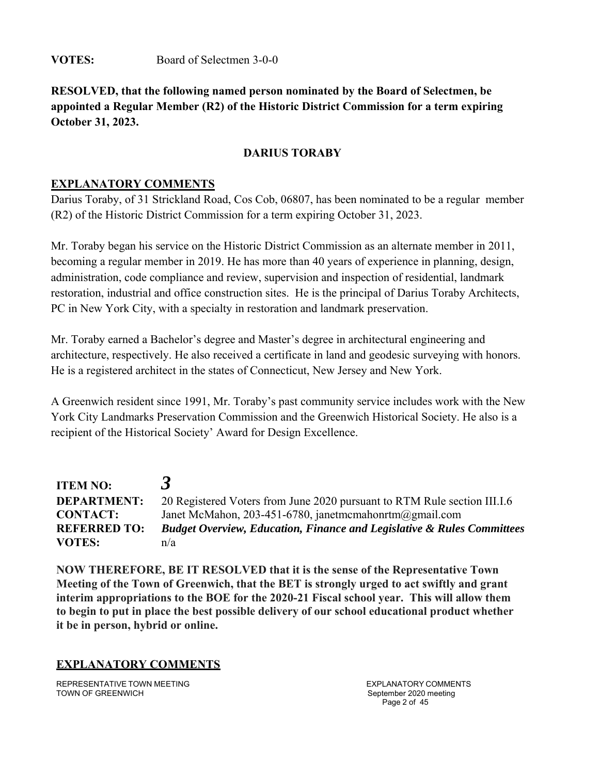**VOTES:** Board of Selectmen 3-0-0

**RESOLVED, that the following named person nominated by the Board of Selectmen, be appointed a Regular Member (R2) of the Historic District Commission for a term expiring October 31, 2023.** 

## **DARIUS TORABY**

## **EXPLANATORY COMMENTS**

Darius Toraby, of 31 Strickland Road, Cos Cob, 06807, has been nominated to be a regular member (R2) of the Historic District Commission for a term expiring October 31, 2023.

Mr. Toraby began his service on the Historic District Commission as an alternate member in 2011, becoming a regular member in 2019. He has more than 40 years of experience in planning, design, administration, code compliance and review, supervision and inspection of residential, landmark restoration, industrial and office construction sites. He is the principal of Darius Toraby Architects, PC in New York City, with a specialty in restoration and landmark preservation.

Mr. Toraby earned a Bachelor's degree and Master's degree in architectural engineering and architecture, respectively. He also received a certificate in land and geodesic surveying with honors. He is a registered architect in the states of Connecticut, New Jersey and New York.

A Greenwich resident since 1991, Mr. Toraby's past community service includes work with the New York City Landmarks Preservation Commission and the Greenwich Historical Society. He also is a recipient of the Historical Society' Award for Design Excellence.

| <b>ITEM NO:</b>     |                                                                                   |
|---------------------|-----------------------------------------------------------------------------------|
| <b>DEPARTMENT:</b>  | 20 Registered Voters from June 2020 pursuant to RTM Rule section III.I.6          |
| <b>CONTACT:</b>     | Janet McMahon, 203-451-6780, janetmcmahonrtm $@g$ mail.com                        |
| <b>REFERRED TO:</b> | <b>Budget Overview, Education, Finance and Legislative &amp; Rules Committees</b> |
| <b>VOTES:</b>       | n/a                                                                               |

**NOW THEREFORE, BE IT RESOLVED that it is the sense of the Representative Town Meeting of the Town of Greenwich, that the BET is strongly urged to act swiftly and grant interim appropriations to the BOE for the 2020-21 Fiscal school year. This will allow them to begin to put in place the best possible delivery of our school educational product whether it be in person, hybrid or online.** 

**EXPLANATORY COMMENTS**

REPRESENTATIVE TOWN MEETING TOWN OF GREENWICH

EXPLANATORY COMMENTS September 2020 meeting Page 2 of 45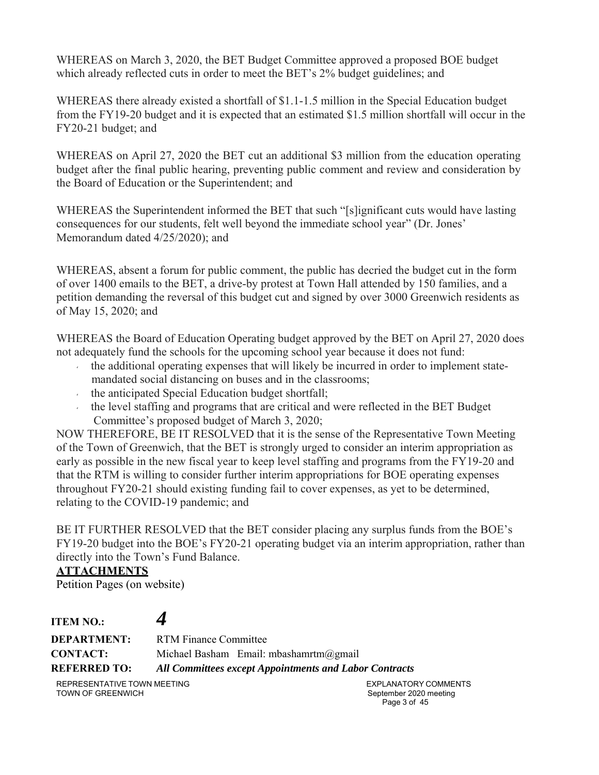WHEREAS on March 3, 2020, the BET Budget Committee approved a proposed BOE budget which already reflected cuts in order to meet the BET's 2% budget guidelines; and

WHEREAS there already existed a shortfall of \$1.1-1.5 million in the Special Education budget from the FY19-20 budget and it is expected that an estimated \$1.5 million shortfall will occur in the FY20-21 budget; and

WHEREAS on April 27, 2020 the BET cut an additional \$3 million from the education operating budget after the final public hearing, preventing public comment and review and consideration by the Board of Education or the Superintendent; and

WHEREAS the Superintendent informed the BET that such "[s]ignificant cuts would have lasting consequences for our students, felt well beyond the immediate school year" (Dr. Jones' Memorandum dated 4/25/2020); and

WHEREAS, absent a forum for public comment, the public has decried the budget cut in the form of over 1400 emails to the BET, a drive-by protest at Town Hall attended by 150 families, and a petition demanding the reversal of this budget cut and signed by over 3000 Greenwich residents as of May 15, 2020; and

WHEREAS the Board of Education Operating budget approved by the BET on April 27, 2020 does not adequately fund the schools for the upcoming school year because it does not fund:

- the additional operating expenses that will likely be incurred in order to implement statemandated social distancing on buses and in the classrooms;
- $\cdot$  the anticipated Special Education budget shortfall;
- the level staffing and programs that are critical and were reflected in the BET Budget Committee's proposed budget of March 3, 2020;

NOW THEREFORE, BE IT RESOLVED that it is the sense of the Representative Town Meeting of the Town of Greenwich, that the BET is strongly urged to consider an interim appropriation as early as possible in the new fiscal year to keep level staffing and programs from the FY19-20 and that the RTM is willing to consider further interim appropriations for BOE operating expenses throughout FY20-21 should existing funding fail to cover expenses, as yet to be determined, relating to the COVID-19 pandemic; and

BE IT FURTHER RESOLVED that the BET consider placing any surplus funds from the BOE's FY19-20 budget into the BOE's FY20-21 operating budget via an interim appropriation, rather than directly into the Town's Fund Balance.

## **ATTACHMENTS**

Petition Pages (on website)

**ITEM NO.:** *4* **DEPARTMENT:** RTM Finance Committee **CONTACT:** Michael Basham Email: mbashamrtm@gmail **REFERRED TO:** *All Committees except Appointments and Labor Contracts*

REPRESENTATIVE TOWN MEETING TOWN OF GREENWICH

EXPLANATORY COMMENTS September 2020 meeting Page 3 of 45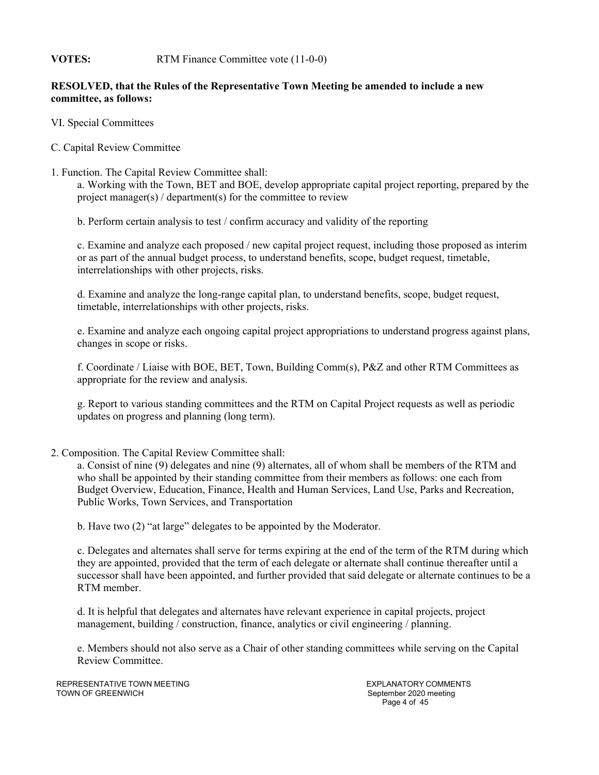#### **VOTES:** RTM Finance Committee vote (11-0-0)

#### **RESOLVED, that the Rules of the Representative Town Meeting be amended to include a new committee, as follows:**

- VI. Special Committees
- C. Capital Review Committee
- 1. Function. The Capital Review Committee shall:

a. Working with the Town, BET and BOE, develop appropriate capital project reporting, prepared by the project manager(s) / department(s) for the committee to review

b. Perform certain analysis to test / confirm accuracy and validity of the reporting

c. Examine and analyze each proposed / new capital project request, including those proposed as interim or as part of the annual budget process, to understand benefits, scope, budget request, timetable, interrelationships with other projects, risks.

d. Examine and analyze the long-range capital plan, to understand benefits, scope, budget request, timetable, interrelationships with other projects, risks.

e. Examine and analyze each ongoing capital project appropriations to understand progress against plans, changes in scope or risks.

f. Coordinate / Liaise with BOE, BET, Town, Building Comm(s), P&Z and other RTM Committees as appropriate for the review and analysis.

g. Report to various standing committees and the RTM on Capital Project requests as well as periodic updates on progress and planning (long term).

2. Composition. The Capital Review Committee shall:

a. Consist of nine (9) delegates and nine (9) alternates, all of whom shall be members of the RTM and who shall be appointed by their standing committee from their members as follows: one each from Budget Overview, Education, Finance, Health and Human Services, Land Use, Parks and Recreation, Public Works, Town Services, and Transportation

b. Have two (2) "at large" delegates to be appointed by the Moderator.

c. Delegates and alternates shall serve for terms expiring at the end of the term of the RTM during which they are appointed, provided that the term of each delegate or alternate shall continue thereafter until a successor shall have been appointed, and further provided that said delegate or alternate continues to be a RTM member.

d. It is helpful that delegates and alternates have relevant experience in capital projects, project management, building / construction, finance, analytics or civil engineering / planning.

e. Members should not also serve as a Chair of other standing committees while serving on the Capital Review Committee.

REPRESENTATIVE TOWN MEETING TOWN OF GREENWICH

EXPLANATORY COMMENTS September 2020 meeting Page 4 of 45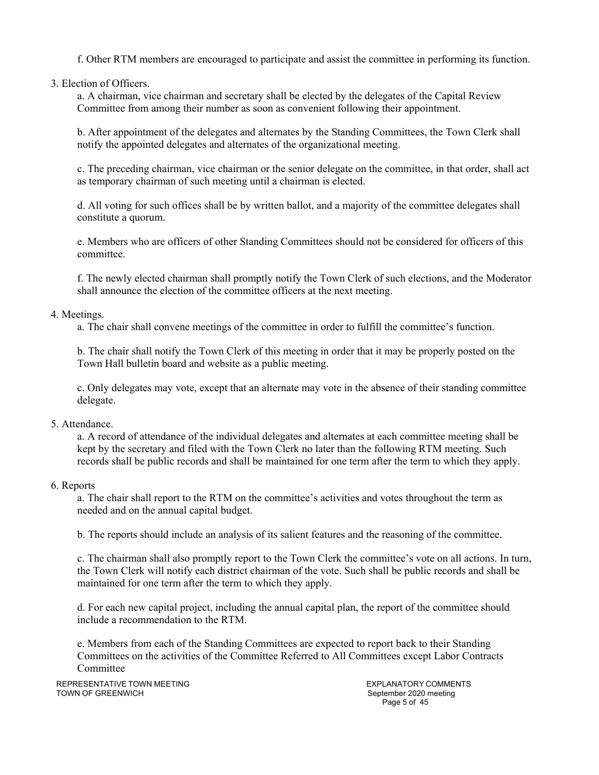f. Other RTM members are encouraged to participate and assist the committee in performing its function.

3. Election of Officers.

a. A chairman, vice chairman and secretary shall be elected by the delegates of the Capital Review Committee from among their number as soon as convenient following their appointment.

b. After appointment of the delegates and alternates by the Standing Committees, the Town Clerk shall notify the appointed delegates and alternates of the organizational meeting.

c. The preceding chairman, vice chairman or the senior delegate on the committee, in that order, shall act as temporary chairman of such meeting until a chairman is elected.

d. All voting for such offices shall be by written ballot, and a majority of the committee delegates shall constitute a quorum.

e. Members who are officers of other Standing Committees should not be considered for officers of this committee.

f. The newly elected chairman shall promptly notify the Town Clerk of such elections, and the Moderator shall announce the election of the committee officers at the next meeting.

#### 4. Meetings.

a. The chair shall convene meetings of the committee in order to fulfill the committee's function.

b. The chair shall notify the Town Clerk of this meeting in order that it may be properly posted on the Town Hall bulletin board and website as a public meeting.

c. Only delegates may vote, except that an alternate may vote in the absence of their standing committee delegate.

#### 5. Attendance.

a. A record of attendance of the individual delegates and alternates at each committee meeting shall be kept by the secretary and filed with the Town Clerk no later than the following RTM meeting. Such records shall be public records and shall be maintained for one term after the term to which they apply.

#### 6. Reports

a. The chair shall report to the RTM on the committee's activities and votes throughout the term as needed and on the annual capital budget.

b. The reports should include an analysis of its salient features and the reasoning of the committee.

c. The chairman shall also promptly report to the Town Clerk the committee's vote on all actions. In turn, the Town Clerk will notify each district chairman of the vote. Such shall be public records and shall be maintained for one term after the term to which they apply.

d. For each new capital project, including the annual capital plan, the report of the committee should include a recommendation to the RTM.

e. Members from each of the Standing Committees are expected to report back to their Standing Committees on the activities of the Committee Referred to All Committees except Labor Contracts Committee

REPRESENTATIVE TOWN MEETING TOWN OF GREENWICH

EXPLANATORY COMMENTS September 2020 meeting Page 5 of 45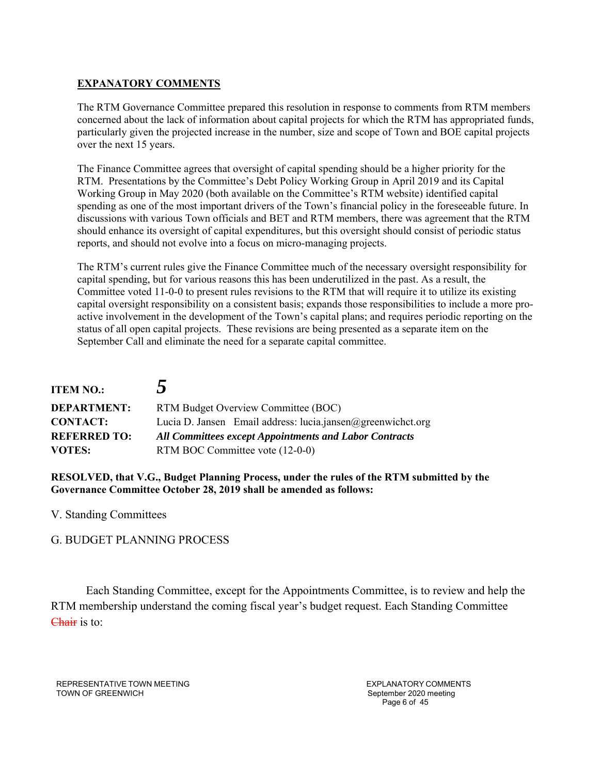#### **EXPANATORY COMMENTS**

The RTM Governance Committee prepared this resolution in response to comments from RTM members concerned about the lack of information about capital projects for which the RTM has appropriated funds, particularly given the projected increase in the number, size and scope of Town and BOE capital projects over the next 15 years.

The Finance Committee agrees that oversight of capital spending should be a higher priority for the RTM. Presentations by the Committee's Debt Policy Working Group in April 2019 and its Capital Working Group in May 2020 (both available on the Committee's RTM website) identified capital spending as one of the most important drivers of the Town's financial policy in the foreseeable future. In discussions with various Town officials and BET and RTM members, there was agreement that the RTM should enhance its oversight of capital expenditures, but this oversight should consist of periodic status reports, and should not evolve into a focus on micro-managing projects.

The RTM's current rules give the Finance Committee much of the necessary oversight responsibility for capital spending, but for various reasons this has been underutilized in the past. As a result, the Committee voted 11-0-0 to present rules revisions to the RTM that will require it to utilize its existing capital oversight responsibility on a consistent basis; expands those responsibilities to include a more proactive involvement in the development of the Town's capital plans; and requires periodic reporting on the status of all open capital projects. These revisions are being presented as a separate item on the September Call and eliminate the need for a separate capital committee.

| <b>ITEM NO.:</b>    | $\overline{\mathcal{L}}$                                      |  |
|---------------------|---------------------------------------------------------------|--|
| <b>DEPARTMENT:</b>  | RTM Budget Overview Committee (BOC)                           |  |
| <b>CONTACT:</b>     | Lucia D. Jansen Email address: lucia.jansen@greenwichct.org   |  |
| <b>REFERRED TO:</b> | <b>All Committees except Appointments and Labor Contracts</b> |  |
| <b>VOTES:</b>       | RTM BOC Committee vote (12-0-0)                               |  |

**RESOLVED, that V.G., Budget Planning Process, under the rules of the RTM submitted by the Governance Committee October 28, 2019 shall be amended as follows:** 

V. Standing Committees

G. BUDGET PLANNING PROCESS

Each Standing Committee, except for the Appointments Committee, is to review and help the RTM membership understand the coming fiscal year's budget request. Each Standing Committee Chair is to:

REPRESENTATIVE TOWN MEETING TOWN OF GREENWICH

EXPLANATORY COMMENTS September 2020 meeting Page 6 of 45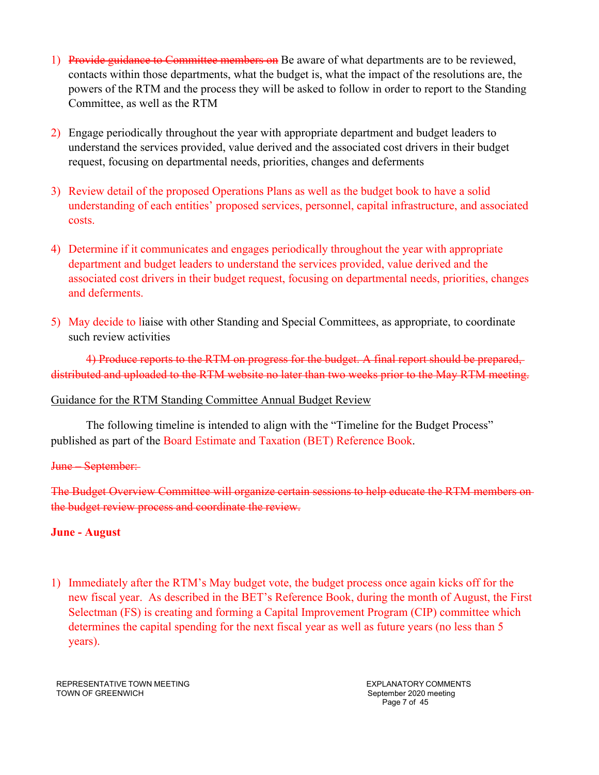- 1) Provide guidance to Committee members on Be aware of what departments are to be reviewed, contacts within those departments, what the budget is, what the impact of the resolutions are, the powers of the RTM and the process they will be asked to follow in order to report to the Standing Committee, as well as the RTM
- 2) Engage periodically throughout the year with appropriate department and budget leaders to understand the services provided, value derived and the associated cost drivers in their budget request, focusing on departmental needs, priorities, changes and deferments
- 3) Review detail of the proposed Operations Plans as well as the budget book to have a solid understanding of each entities' proposed services, personnel, capital infrastructure, and associated costs.
- 4) Determine if it communicates and engages periodically throughout the year with appropriate department and budget leaders to understand the services provided, value derived and the associated cost drivers in their budget request, focusing on departmental needs, priorities, changes and deferments.
- 5) May decide to liaise with other Standing and Special Committees, as appropriate, to coordinate such review activities

4) Produce reports to the RTM on progress for the budget. A final report should be prepared, distributed and uploaded to the RTM website no later than two weeks prior to the May RTM meeting.

## Guidance for the RTM Standing Committee Annual Budget Review

The following timeline is intended to align with the "Timeline for the Budget Process" published as part of the Board Estimate and Taxation (BET) Reference Book.

## June – September:

The Budget Overview Committee will organize certain sessions to help educate the RTM members on the budget review process and coordinate the review.

## **June - August**

1) Immediately after the RTM's May budget vote, the budget process once again kicks off for the new fiscal year. As described in the BET's Reference Book, during the month of August, the First Selectman (FS) is creating and forming a Capital Improvement Program (CIP) committee which determines the capital spending for the next fiscal year as well as future years (no less than 5 years).

REPRESENTATIVE TOWN MEETING TOWN OF GREENWICH

EXPLANATORY COMMENTS September 2020 meeting Page 7 of 45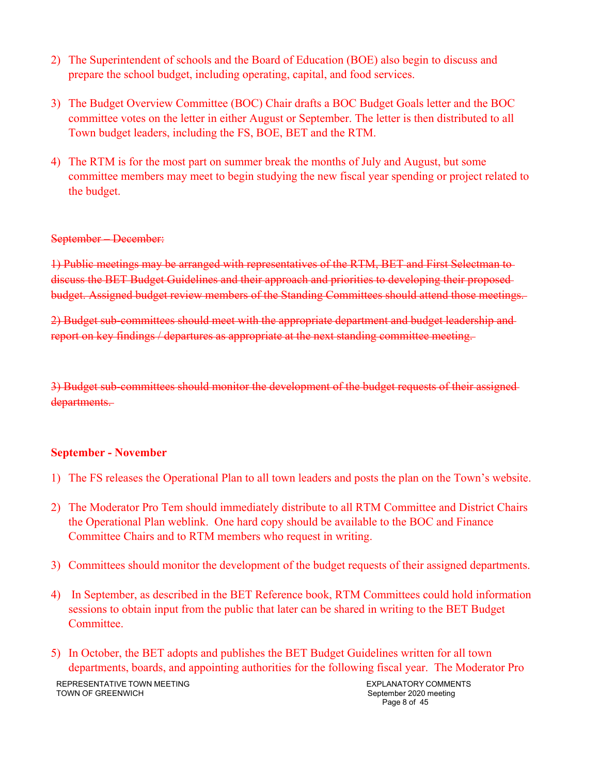- 2) The Superintendent of schools and the Board of Education (BOE) also begin to discuss and prepare the school budget, including operating, capital, and food services.
- 3) The Budget Overview Committee (BOC) Chair drafts a BOC Budget Goals letter and the BOC committee votes on the letter in either August or September. The letter is then distributed to all Town budget leaders, including the FS, BOE, BET and the RTM.
- 4) The RTM is for the most part on summer break the months of July and August, but some committee members may meet to begin studying the new fiscal year spending or project related to the budget.

#### September – December:

1) Public meetings may be arranged with representatives of the RTM, BET and First Selectman to discuss the BET Budget Guidelines and their approach and priorities to developing their propos budget. Assigned budget review members of the Standing Committees should attend those meetings.

2) Budget sub-committees should meet with the appropriate department and budget leadership and report on key findings / departures as appropriate at the next standing committee meeting.

3) Budget sub-committees should monitor the development of the budget requests of their assigned departments.

#### **September - November**

- 1) The FS releases the Operational Plan to all town leaders and posts the plan on the Town's website.
- 2) The Moderator Pro Tem should immediately distribute to all RTM Committee and District Chairs the Operational Plan weblink. One hard copy should be available to the BOC and Finance Committee Chairs and to RTM members who request in writing.
- 3) Committees should monitor the development of the budget requests of their assigned departments.
- 4) In September, as described in the BET Reference book, RTM Committees could hold information sessions to obtain input from the public that later can be shared in writing to the BET Budget Committee.
- 5) In October, the BET adopts and publishes the BET Budget Guidelines written for all town departments, boards, and appointing authorities for the following fiscal year. The Moderator Pro

REPRESENTATIVE TOWN MEETING TOWN OF GREENWICH

EXPLANATORY COMMENTS September 2020 meeting Page 8 of 45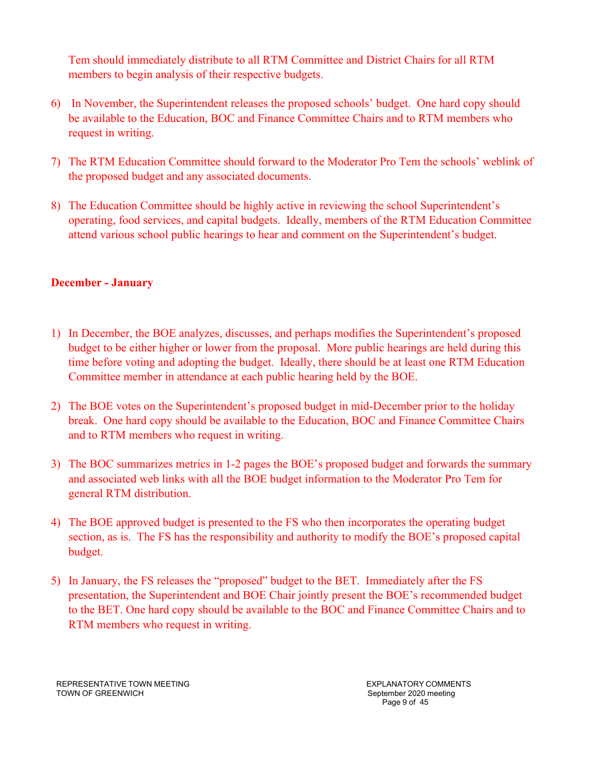Tem should immediately distribute to all RTM Committee and District Chairs for all RTM members to begin analysis of their respective budgets.

- 6) In November, the Superintendent releases the proposed schools' budget. One hard copy should be available to the Education, BOC and Finance Committee Chairs and to RTM members who request in writing.
- 7) The RTM Education Committee should forward to the Moderator Pro Tem the schools' weblink of the proposed budget and any associated documents.
- 8) The Education Committee should be highly active in reviewing the school Superintendent's operating, food services, and capital budgets. Ideally, members of the RTM Education Committee attend various school public hearings to hear and comment on the Superintendent's budget.

## **December - January**

- 1) In December, the BOE analyzes, discusses, and perhaps modifies the Superintendent's proposed budget to be either higher or lower from the proposal. More public hearings are held during this time before voting and adopting the budget. Ideally, there should be at least one RTM Education Committee member in attendance at each public hearing held by the BOE.
- 2) The BOE votes on the Superintendent's proposed budget in mid-December prior to the holiday break. One hard copy should be available to the Education, BOC and Finance Committee Chairs and to RTM members who request in writing.
- 3) The BOC summarizes metrics in 1-2 pages the BOE's proposed budget and forwards the summary and associated web links with all the BOE budget information to the Moderator Pro Tem for general RTM distribution.
- 4) The BOE approved budget is presented to the FS who then incorporates the operating budget section, as is. The FS has the responsibility and authority to modify the BOE's proposed capital budget.
- 5) In January, the FS releases the "proposed" budget to the BET. Immediately after the FS presentation, the Superintendent and BOE Chair jointly present the BOE's recommended budget to the BET. One hard copy should be available to the BOC and Finance Committee Chairs and to RTM members who request in writing.

REPRESENTATIVE TOWN MEETING TOWN OF GREENWICH

EXPLANATORY COMMENTS September 2020 meeting Page 9 of 45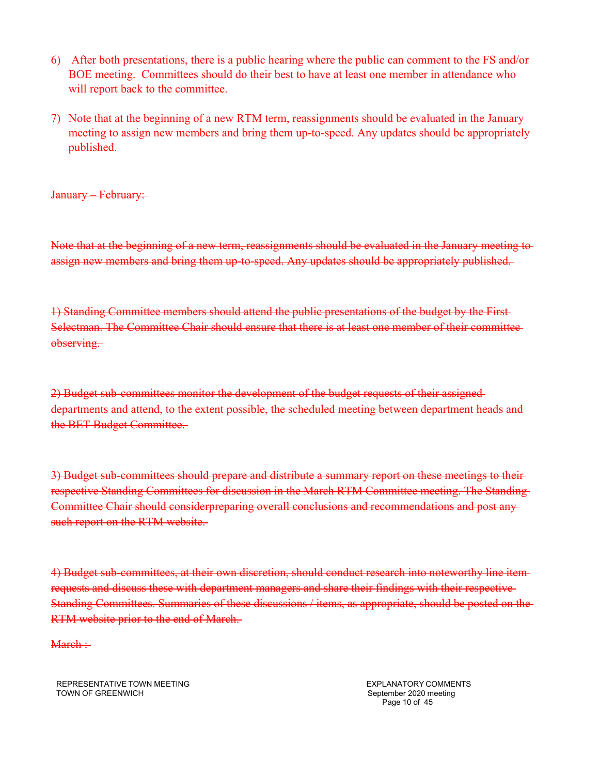- 6) After both presentations, there is a public hearing where the public can comment to the FS and/or BOE meeting. Committees should do their best to have at least one member in attendance who will report back to the committee.
- 7) Note that at the beginning of a new RTM term, reassignments should be evaluated in the January meeting to assign new members and bring them up-to-speed. Any updates should be appropriately published.

January – February:

Note that at the beginning of a new term, reassignments should be evaluated in the January meeting to assign new members and bring them up-to-speed. Any updates should be appropriately published.

1) Standing Committee members should attend the public presentations of the budget by the First Selectman. The Committee Chair should ensure that there is at least one member of their committee observing.

2) Budget sub-committees monitor the development of the budget requests of their assigned departments and attend, to the extent possible, the scheduled meeting between department heads and the BET Budget Committee.

3) Budget sub-committees should prepare and distribute a summary report on these meetings to their respective Standing Committees for discussion in the March RTM Committee meeting. The Standing Committee Chair should considerpreparing overall conclusions and recommendations and post any such report on the RTM website.

4) Budget sub-committees, at their own discretion, should conduct research into noteworthy line item requests and discuss these with department managers and share their findings with their respective Standing Committees. Summaries of these discussions / items, as appropriate, should be posted on the RTM website prior to the end of March.

March :-

REPRESENTATIVE TOWN MEETING TOWN OF GREENWICH

EXPLANATORY COMMENTS September 2020 meeting Page 10 of 45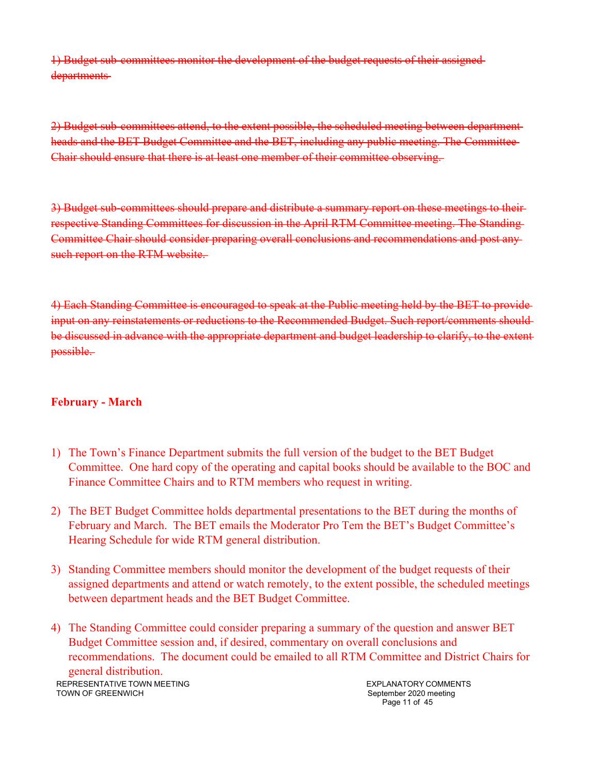1) Budget sub-committees monitor the development of the budget requests of their assigned departments

2) Budget sub-committees attend, to the extent possible, the scheduled meeting between department heads and the BET Budget Committee and the BET, including any public meeting. The Committee Chair should ensure that there is at least one member of their committee observing.

3) Budget sub-committees should prepare and distribute a summary report on these meetings to their respective Standing Committees for discussion in the April RTM Committee meeting. The Standing Committee Chair should consider preparing overall conclusions and recommendations and post any such report on the RTM website.

4) Each Standing Committee is encouraged to speak at the Public meeting held by the BET to provide input on any reinstatements or reductions to the Recommended Budget. Such report/comments should be discussed in advance with the appropriate department and budget leadership to clarify, to the extent possible.

## **February - March**

- 1) The Town's Finance Department submits the full version of the budget to the BET Budget Committee. One hard copy of the operating and capital books should be available to the BOC and Finance Committee Chairs and to RTM members who request in writing.
- 2) The BET Budget Committee holds departmental presentations to the BET during the months of February and March. The BET emails the Moderator Pro Tem the BET's Budget Committee's Hearing Schedule for wide RTM general distribution.
- 3) Standing Committee members should monitor the development of the budget requests of their assigned departments and attend or watch remotely, to the extent possible, the scheduled meetings between department heads and the BET Budget Committee.
- 4) The Standing Committee could consider preparing a summary of the question and answer BET Budget Committee session and, if desired, commentary on overall conclusions and recommendations. The document could be emailed to all RTM Committee and District Chairs for general distribution.

REPRESENTATIVE TOWN MEETING TOWN OF GREENWICH

EXPLANATORY COMMENTS September 2020 meeting Page 11 of 45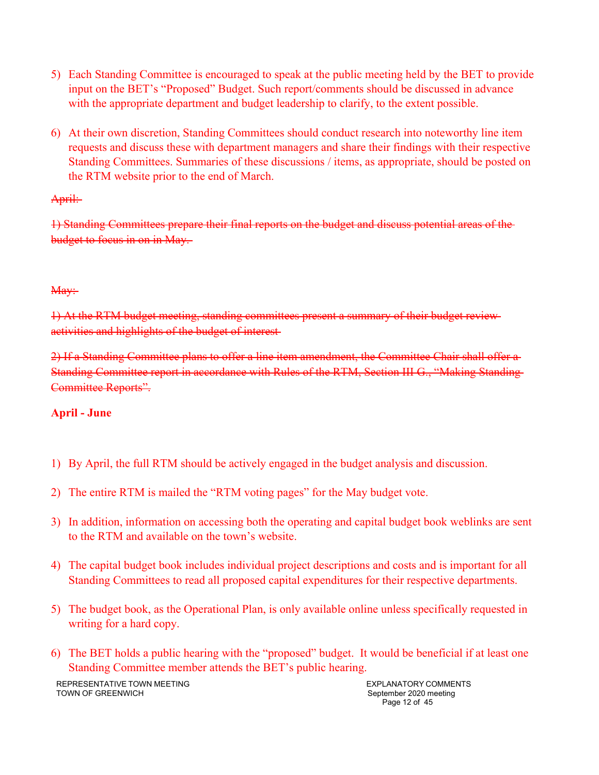- 5) Each Standing Committee is encouraged to speak at the public meeting held by the BET to provide input on the BET's "Proposed" Budget. Such report/comments should be discussed in advance with the appropriate department and budget leadership to clarify, to the extent possible.
- 6) At their own discretion, Standing Committees should conduct research into noteworthy line item requests and discuss these with department managers and share their findings with their respective Standing Committees. Summaries of these discussions / items, as appropriate, should be posted on the RTM website prior to the end of March.

## April:

1) Standing Committees prepare their final reports on the budget and discuss potential areas of the budget to focus in on in May.

## May:

1) At the RTM budget meeting, standing committees present a summary of their budget review activities and highlights of the budget of interest

2) If a Standing Committee plans to offer a line item amendment, the Committee Chair shall offer a Standing Committee report in accordance with Rules of the RTM, Section III G., "Making Standing Committee Reports".

# **April - June**

- 1) By April, the full RTM should be actively engaged in the budget analysis and discussion.
- 2) The entire RTM is mailed the "RTM voting pages" for the May budget vote.
- 3) In addition, information on accessing both the operating and capital budget book weblinks are sent to the RTM and available on the town's website.
- 4) The capital budget book includes individual project descriptions and costs and is important for all Standing Committees to read all proposed capital expenditures for their respective departments.
- 5) The budget book, as the Operational Plan, is only available online unless specifically requested in writing for a hard copy.
- 6) The BET holds a public hearing with the "proposed" budget. It would be beneficial if at least one Standing Committee member attends the BET's public hearing.

REPRESENTATIVE TOWN MEETING TOWN OF GREENWICH

EXPLANATORY COMMENTS September 2020 meeting Page 12 of 45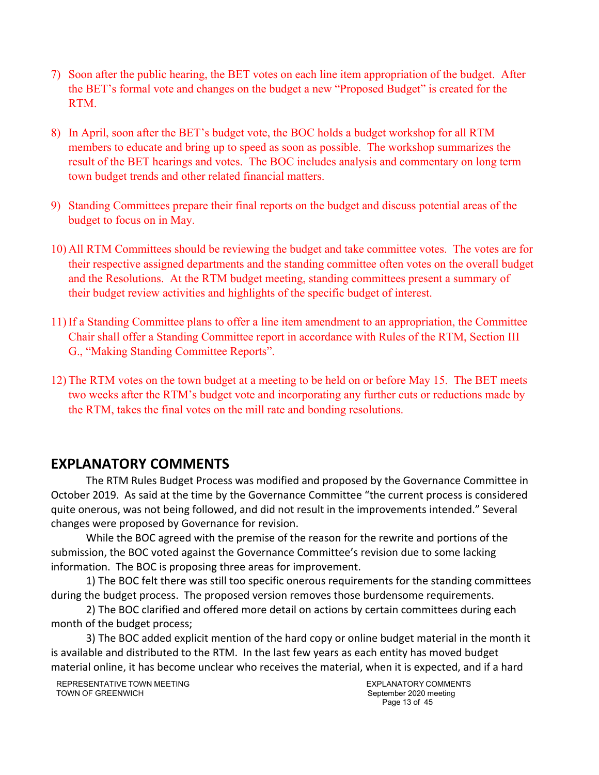- 7) Soon after the public hearing, the BET votes on each line item appropriation of the budget. After the BET's formal vote and changes on the budget a new "Proposed Budget" is created for the RTM.
- 8) In April, soon after the BET's budget vote, the BOC holds a budget workshop for all RTM members to educate and bring up to speed as soon as possible. The workshop summarizes the result of the BET hearings and votes. The BOC includes analysis and commentary on long term town budget trends and other related financial matters.
- 9) Standing Committees prepare their final reports on the budget and discuss potential areas of the budget to focus on in May.
- 10) All RTM Committees should be reviewing the budget and take committee votes. The votes are for their respective assigned departments and the standing committee often votes on the overall budget and the Resolutions. At the RTM budget meeting, standing committees present a summary of their budget review activities and highlights of the specific budget of interest.
- 11) If a Standing Committee plans to offer a line item amendment to an appropriation, the Committee Chair shall offer a Standing Committee report in accordance with Rules of the RTM, Section III G., "Making Standing Committee Reports".
- 12) The RTM votes on the town budget at a meeting to be held on or before May 15. The BET meets two weeks after the RTM's budget vote and incorporating any further cuts or reductions made by the RTM, takes the final votes on the mill rate and bonding resolutions.

# **EXPLANATORY COMMENTS**

The RTM Rules Budget Process was modified and proposed by the Governance Committee in October 2019. As said at the time by the Governance Committee "the current process is considered quite onerous, was not being followed, and did not result in the improvements intended." Several changes were proposed by Governance for revision.

While the BOC agreed with the premise of the reason for the rewrite and portions of the submission, the BOC voted against the Governance Committee's revision due to some lacking information. The BOC is proposing three areas for improvement.

1) The BOC felt there was still too specific onerous requirements for the standing committees during the budget process. The proposed version removes those burdensome requirements.

2) The BOC clarified and offered more detail on actions by certain committees during each month of the budget process;

3) The BOC added explicit mention of the hard copy or online budget material in the month it is available and distributed to the RTM. In the last few years as each entity has moved budget material online, it has become unclear who receives the material, when it is expected, and if a hard

EXPLANATORY COMMENTS September 2020 meeting Page 13 of 45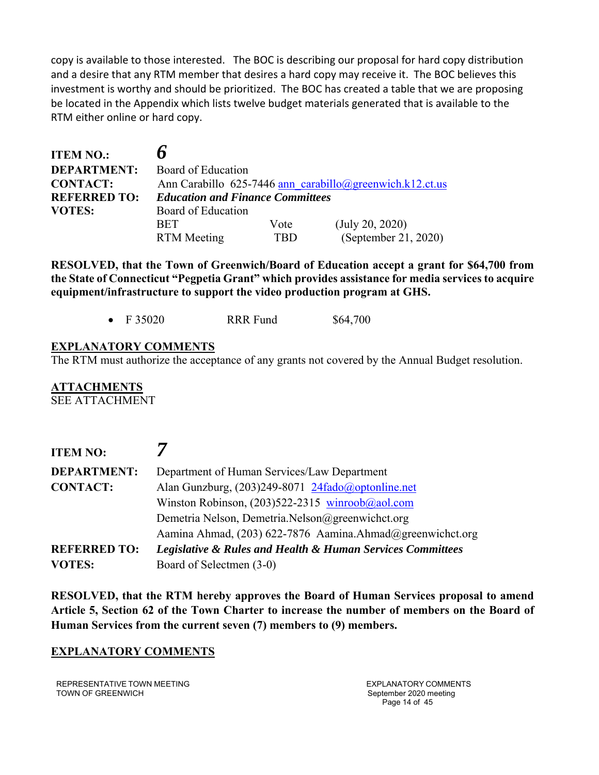copy is available to those interested. The BOC is describing our proposal for hard copy distribution and a desire that any RTM member that desires a hard copy may receive it. The BOC believes this investment is worthy and should be prioritized. The BOC has created a table that we are proposing be located in the Appendix which lists twelve budget materials generated that is available to the RTM either online or hard copy.

| <b>ITEM NO.:</b>    | n                                                        |      |                      |  |
|---------------------|----------------------------------------------------------|------|----------------------|--|
| <b>DEPARTMENT:</b>  | Board of Education                                       |      |                      |  |
| <b>CONTACT:</b>     | Ann Carabillo 625-7446 ann carabillo@greenwich.k12.ct.us |      |                      |  |
| <b>REFERRED TO:</b> | <b>Education and Finance Committees</b>                  |      |                      |  |
| <b>VOTES:</b>       | Board of Education                                       |      |                      |  |
|                     | <b>BET</b>                                               | Vote | (July 20, 2020)      |  |
|                     | <b>RTM</b> Meeting                                       | TBD  | (September 21, 2020) |  |

**RESOLVED, that the Town of Greenwich/Board of Education accept a grant for \$64,700 from the State of Connecticut "Pegpetia Grant" which provides assistance for media services to acquire equipment/infrastructure to support the video production program at GHS.** 

|  | F 35020 | <b>RRR</b> Fund | \$64,700 |
|--|---------|-----------------|----------|
|--|---------|-----------------|----------|

## **EXPLANATORY COMMENTS**

The RTM must authorize the acceptance of any grants not covered by the Annual Budget resolution.

**ATTACHMENTS**  SEE ATTACHMENT

| <b>ITEM NO:</b>     |                                                                           |
|---------------------|---------------------------------------------------------------------------|
| <b>DEPARTMENT:</b>  | Department of Human Services/Law Department                               |
| <b>CONTACT:</b>     | Alan Gunzburg, (203)249-8071 24fado@optonline.net                         |
|                     | Winston Robinson, $(203)522-2315$ winroob@aol.com                         |
|                     | Demetria Nelson, Demetria.Nelson@greenwichct.org                          |
|                     | Aamina Ahmad, (203) 622-7876 Aamina.Ahmad@greenwichct.org                 |
| <b>REFERRED TO:</b> | <b>Legislative &amp; Rules and Health &amp; Human Services Committees</b> |
| <b>VOTES:</b>       | Board of Selectmen (3-0)                                                  |

**RESOLVED, that the RTM hereby approves the Board of Human Services proposal to amend Article 5, Section 62 of the Town Charter to increase the number of members on the Board of Human Services from the current seven (7) members to (9) members.** 

#### **EXPLANATORY COMMENTS**

REPRESENTATIVE TOWN MEETING TOWN OF GREENWICH

EXPLANATORY COMMENTS September 2020 meeting Page 14 of 45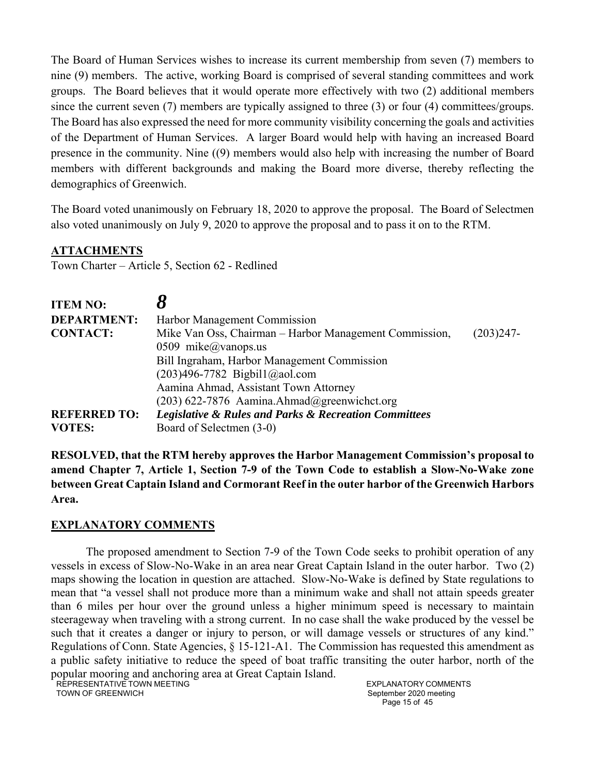The Board of Human Services wishes to increase its current membership from seven (7) members to nine (9) members. The active, working Board is comprised of several standing committees and work groups. The Board believes that it would operate more effectively with two (2) additional members since the current seven (7) members are typically assigned to three (3) or four (4) committees/groups. The Board has also expressed the need for more community visibility concerning the goals and activities of the Department of Human Services. A larger Board would help with having an increased Board presence in the community. Nine ((9) members would also help with increasing the number of Board members with different backgrounds and making the Board more diverse, thereby reflecting the demographics of Greenwich.

The Board voted unanimously on February 18, 2020 to approve the proposal. The Board of Selectmen also voted unanimously on July 9, 2020 to approve the proposal and to pass it on to the RTM.

#### **ATTACHMENTS**

Town Charter – Article 5, Section 62 - Redlined

| <b>ITEM NO:</b>     |                                                                      |             |
|---------------------|----------------------------------------------------------------------|-------------|
| <b>DEPARTMENT:</b>  | Harbor Management Commission                                         |             |
| <b>CONTACT:</b>     | Mike Van Oss, Chairman - Harbor Management Commission,               | $(203)247-$ |
|                     | 0509 mike@vanops.us                                                  |             |
|                     | Bill Ingraham, Harbor Management Commission                          |             |
|                     | $(203)496-7782$ Bigbil1@aol.com                                      |             |
|                     | Aamina Ahmad, Assistant Town Attorney                                |             |
|                     | $(203)$ 622-7876 Aamina.Ahmad@greenwichct.org                        |             |
| <b>REFERRED TO:</b> | <b>Legislative &amp; Rules and Parks &amp; Recreation Committees</b> |             |
| <b>VOTES:</b>       | Board of Selectmen (3-0)                                             |             |

**RESOLVED, that the RTM hereby approves the Harbor Management Commission's proposal to amend Chapter 7, Article 1, Section 7-9 of the Town Code to establish a Slow-No-Wake zone between Great Captain Island and Cormorant Reef in the outer harbor of the Greenwich Harbors Area.** 

#### **EXPLANATORY COMMENTS**

The proposed amendment to Section 7-9 of the Town Code seeks to prohibit operation of any vessels in excess of Slow-No-Wake in an area near Great Captain Island in the outer harbor. Two (2) maps showing the location in question are attached. Slow-No-Wake is defined by State regulations to mean that "a vessel shall not produce more than a minimum wake and shall not attain speeds greater than 6 miles per hour over the ground unless a higher minimum speed is necessary to maintain steerageway when traveling with a strong current. In no case shall the wake produced by the vessel be such that it creates a danger or injury to person, or will damage vessels or structures of any kind." Regulations of Conn. State Agencies, § 15-121-A1. The Commission has requested this amendment as a public safety initiative to reduce the speed of boat traffic transiting the outer harbor, north of the popular mooring and anchoring area at Great Captain Island.

REPRESENTATIVE TOWN MEETING TOWN OF GREENWICH

EXPLANATORY COMMENTS September 2020 meeting Page 15 of 45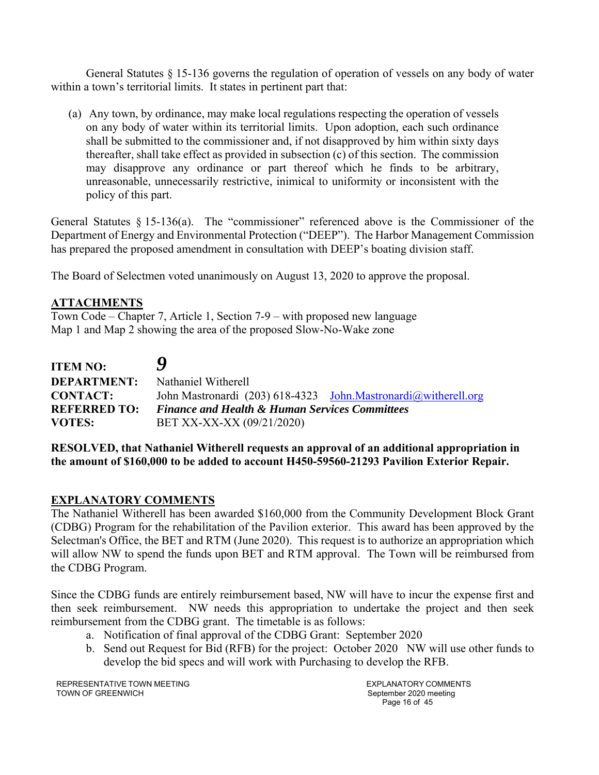General Statutes § 15-136 governs the regulation of operation of vessels on any body of water within a town's territorial limits. It states in pertinent part that:

(a) Any town, by ordinance, may make local regulations respecting the operation of vessels on any body of water within its territorial limits. Upon adoption, each such ordinance shall be submitted to the commissioner and, if not disapproved by him within sixty days thereafter, shall take effect as provided in subsection (c) of this section. The commission may disapprove any ordinance or part thereof which he finds to be arbitrary, unreasonable, unnecessarily restrictive, inimical to uniformity or inconsistent with the policy of this part.

General Statutes § 15-136(a). The "commissioner" referenced above is the Commissioner of the Department of Energy and Environmental Protection ("DEEP"). The Harbor Management Commission has prepared the proposed amendment in consultation with DEEP's boating division staff.

The Board of Selectmen voted unanimously on August 13, 2020 to approve the proposal.

## **ATTACHMENTS**

Town Code – Chapter 7, Article 1, Section 7-9 – with proposed new language Map 1 and Map 2 showing the area of the proposed Slow-No-Wake zone

| <b>ITEM NO:</b>                      | Y                                                                                      |  |
|--------------------------------------|----------------------------------------------------------------------------------------|--|
| <b>DEPARTMENT:</b>                   | Nathaniel Witherell                                                                    |  |
| <b>CONTACT:</b>                      | John Mastronardi (203) 618-4323 John Mastronardi@witherell.org                         |  |
| <b>REFERRED TO:</b><br><b>VOTES:</b> | <b>Finance and Health &amp; Human Services Committees</b><br>BET XX-XX-XX (09/21/2020) |  |

#### **RESOLVED, that Nathaniel Witherell requests an approval of an additional appropriation in the amount of \$160,000 to be added to account H450-59560-21293 Pavilion Exterior Repair.**

#### **EXPLANATORY COMMENTS**

The Nathaniel Witherell has been awarded \$160,000 from the Community Development Block Grant (CDBG) Program for the rehabilitation of the Pavilion exterior. This award has been approved by the Selectman's Office, the BET and RTM (June 2020). This request is to authorize an appropriation which will allow NW to spend the funds upon BET and RTM approval. The Town will be reimbursed from the CDBG Program.

Since the CDBG funds are entirely reimbursement based, NW will have to incur the expense first and then seek reimbursement. NW needs this appropriation to undertake the project and then seek reimbursement from the CDBG grant. The timetable is as follows:

- a. Notification of final approval of the CDBG Grant: September 2020
- b. Send out Request for Bid (RFB) for the project: October 2020 NW will use other funds to develop the bid specs and will work with Purchasing to develop the RFB.

REPRESENTATIVE TOWN MEETING TOWN OF GREENWICH

EXPLANATORY COMMENTS September 2020 meeting Page 16 of 45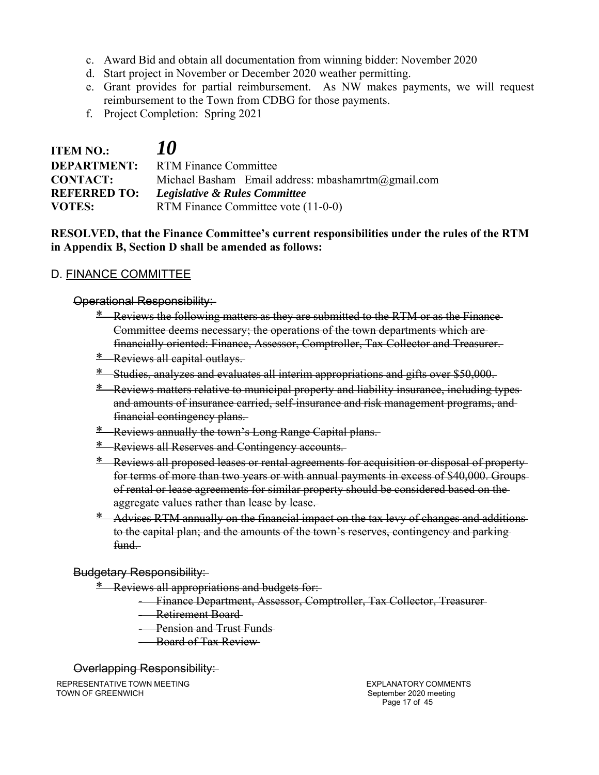- c. Award Bid and obtain all documentation from winning bidder: November 2020
- d. Start project in November or December 2020 weather permitting.
- e. Grant provides for partial reimbursement. As NW makes payments, we will request reimbursement to the Town from CDBG for those payments.
- f. Project Completion: Spring 2021

| <b>ITEM NO.:</b>    | <i>10</i>                                          |  |
|---------------------|----------------------------------------------------|--|
|                     | <b>DEPARTMENT:</b> RTM Finance Committee           |  |
| <b>CONTACT:</b>     | Michael Basham Email address: mbashamrtm@gmail.com |  |
| <b>REFERRED TO:</b> | Legislative & Rules Committee                      |  |
| <b>VOTES:</b>       | RTM Finance Committee vote (11-0-0)                |  |

## **RESOLVED, that the Finance Committee's current responsibilities under the rules of the RTM in Appendix B, Section D shall be amended as follows:**

## D. FINANCE COMMITTEE

#### Operational Responsibility:

- \* Reviews the following matters as they are submitted to the RTM or as the Finance Committee deems necessary; the operations of the town departments which are financially oriented: Finance, Assessor, Comptroller, Tax Collector and Treasurer.
- \* Reviews all capital outlays.
- \* Studies, analyzes and evaluates all interim appropriations and gifts over \$50,000.
- \* Reviews matters relative to municipal property and liability insurance, including types and amounts of insurance carried, self-insurance and risk management programs, and financial contingency plans.
- \* Reviews annually the town's Long Range Capital plans.
- \* Reviews all Reserves and Contingency accounts.
- \* Reviews all proposed leases or rental agreements for acquisition or disposal of property for terms of more than two years or with annual payments in excess of \$40,000. Groups of rental or lease agreements for similar property should be considered based on the aggregate values rather than lease by lease.
- \* Advises RTM annually on the financial impact on the tax levy of changes and additions to the capital plan; and the amounts of the town's reserves, contingency and parking fund.

#### Budgetary Responsibility:

- \* Reviews all appropriations and budgets for:
	- Finance Department, Assessor, Comptroller, Tax Collector, Treasurer
	- Retirement Board
	- **Pension and Trust Funds**
	- Board of Tax Review

#### Overlapping Responsibility:

REPRESENTATIVE TOWN MEETING TOWN OF GREENWICH

EXPLANATORY COMMENTS September 2020 meeting Page 17 of 45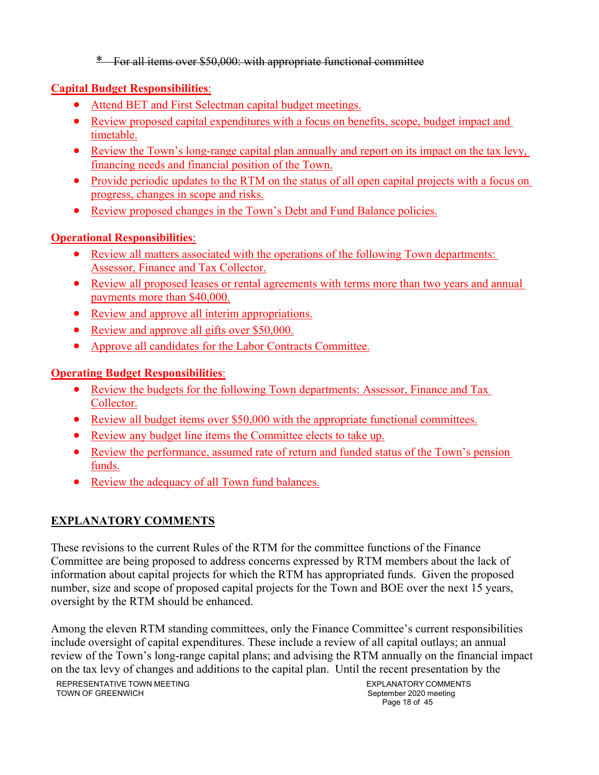\* For all items over \$50,000: with appropriate functional committee

# **Capital Budget Responsibilities**:

- Attend BET and First Selectman capital budget meetings.
- Review proposed capital expenditures with a focus on benefits, scope, budget impact and timetable.
- Review the Town's long-range capital plan annually and report on its impact on the tax levy, financing needs and financial position of the Town.
- Provide periodic updates to the RTM on the status of all open capital projects with a focus on progress, changes in scope and risks.
- Review proposed changes in the Town's Debt and Fund Balance policies.

# **Operational Responsibilities**:

- Review all matters associated with the operations of the following Town departments: Assessor, Finance and Tax Collector.
- Review all proposed leases or rental agreements with terms more than two years and annual payments more than \$40,000.
- Review and approve all interim appropriations.
- Review and approve all gifts over \$50,000.
- Approve all candidates for the Labor Contracts Committee.

# **Operating Budget Responsibilities**:

- Review the budgets for the following Town departments: Assessor, Finance and Tax Collector.
- Review all budget items over \$50,000 with the appropriate functional committees.
- Review any budget line items the Committee elects to take up.
- Review the performance, assumed rate of return and funded status of the Town's pension funds.
- Review the adequacy of all Town fund balances.

# **EXPLANATORY COMMENTS**

These revisions to the current Rules of the RTM for the committee functions of the Finance Committee are being proposed to address concerns expressed by RTM members about the lack of information about capital projects for which the RTM has appropriated funds. Given the proposed number, size and scope of proposed capital projects for the Town and BOE over the next 15 years, oversight by the RTM should be enhanced.

Among the eleven RTM standing committees, only the Finance Committee's current responsibilities include oversight of capital expenditures. These include a review of all capital outlays; an annual review of the Town's long-range capital plans; and advising the RTM annually on the financial impact on the tax levy of changes and additions to the capital plan. Until the recent presentation by the

EXPLANATORY COMMENTS September 2020 meeting Page 18 of 45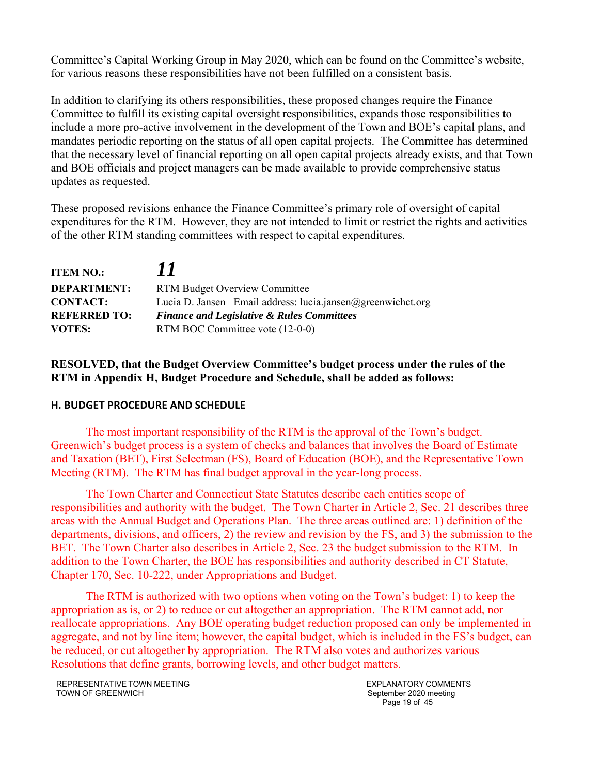Committee's Capital Working Group in May 2020, which can be found on the Committee's website, for various reasons these responsibilities have not been fulfilled on a consistent basis.

In addition to clarifying its others responsibilities, these proposed changes require the Finance Committee to fulfill its existing capital oversight responsibilities, expands those responsibilities to include a more pro-active involvement in the development of the Town and BOE's capital plans, and mandates periodic reporting on the status of all open capital projects. The Committee has determined that the necessary level of financial reporting on all open capital projects already exists, and that Town and BOE officials and project managers can be made available to provide comprehensive status updates as requested.

These proposed revisions enhance the Finance Committee's primary role of oversight of capital expenditures for the RTM. However, they are not intended to limit or restrict the rights and activities of the other RTM standing committees with respect to capital expenditures.

| <b>ITEM NO.:</b>    | 11                                                          |  |
|---------------------|-------------------------------------------------------------|--|
| <b>DEPARTMENT:</b>  | <b>RTM Budget Overview Committee</b>                        |  |
| <b>CONTACT:</b>     | Lucia D. Jansen Email address: lucia.jansen@greenwichct.org |  |
| <b>REFERRED TO:</b> | <b>Finance and Legislative &amp; Rules Committees</b>       |  |
| <b>VOTES:</b>       | RTM BOC Committee vote (12-0-0)                             |  |

## **RESOLVED, that the Budget Overview Committee's budget process under the rules of the RTM in Appendix H, Budget Procedure and Schedule, shall be added as follows:**

#### **H. BUDGET PROCEDURE AND SCHEDULE**

The most important responsibility of the RTM is the approval of the Town's budget. Greenwich's budget process is a system of checks and balances that involves the Board of Estimate and Taxation (BET), First Selectman (FS), Board of Education (BOE), and the Representative Town Meeting (RTM). The RTM has final budget approval in the year-long process.

The Town Charter and Connecticut State Statutes describe each entities scope of responsibilities and authority with the budget. The Town Charter in Article 2, Sec. 21 describes three areas with the Annual Budget and Operations Plan. The three areas outlined are: 1) definition of the departments, divisions, and officers, 2) the review and revision by the FS, and 3) the submission to the BET. The Town Charter also describes in Article 2, Sec. 23 the budget submission to the RTM. In addition to the Town Charter, the BOE has responsibilities and authority described in CT Statute, Chapter 170, Sec. 10-222, under Appropriations and Budget.

The RTM is authorized with two options when voting on the Town's budget: 1) to keep the appropriation as is, or 2) to reduce or cut altogether an appropriation. The RTM cannot add, nor reallocate appropriations. Any BOE operating budget reduction proposed can only be implemented in aggregate, and not by line item; however, the capital budget, which is included in the FS's budget, can be reduced, or cut altogether by appropriation. The RTM also votes and authorizes various Resolutions that define grants, borrowing levels, and other budget matters.

EXPLANATORY COMMENTS September 2020 meeting Page 19 of 45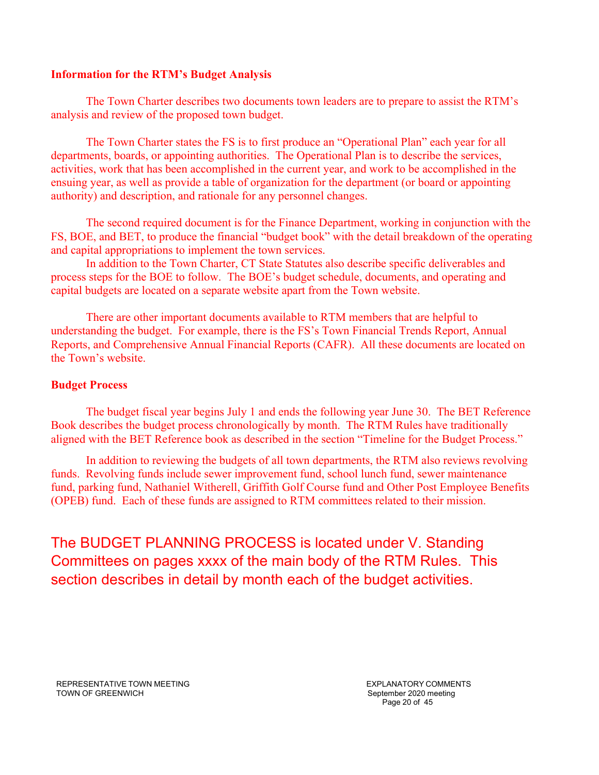#### **Information for the RTM's Budget Analysis**

The Town Charter describes two documents town leaders are to prepare to assist the RTM's analysis and review of the proposed town budget.

The Town Charter states the FS is to first produce an "Operational Plan" each year for all departments, boards, or appointing authorities. The Operational Plan is to describe the services, activities, work that has been accomplished in the current year, and work to be accomplished in the ensuing year, as well as provide a table of organization for the department (or board or appointing authority) and description, and rationale for any personnel changes.

The second required document is for the Finance Department, working in conjunction with the FS, BOE, and BET, to produce the financial "budget book" with the detail breakdown of the operating and capital appropriations to implement the town services.

In addition to the Town Charter, CT State Statutes also describe specific deliverables and process steps for the BOE to follow. The BOE's budget schedule, documents, and operating and capital budgets are located on a separate website apart from the Town website.

There are other important documents available to RTM members that are helpful to understanding the budget. For example, there is the FS's Town Financial Trends Report, Annual Reports, and Comprehensive Annual Financial Reports (CAFR). All these documents are located on the Town's website.

#### **Budget Process**

The budget fiscal year begins July 1 and ends the following year June 30. The BET Reference Book describes the budget process chronologically by month. The RTM Rules have traditionally aligned with the BET Reference book as described in the section "Timeline for the Budget Process."

In addition to reviewing the budgets of all town departments, the RTM also reviews revolving funds. Revolving funds include sewer improvement fund, school lunch fund, sewer maintenance fund, parking fund, Nathaniel Witherell, Griffith Golf Course fund and Other Post Employee Benefits (OPEB) fund. Each of these funds are assigned to RTM committees related to their mission.

The BUDGET PLANNING PROCESS is located under V. Standing Committees on pages xxxx of the main body of the RTM Rules. This section describes in detail by month each of the budget activities.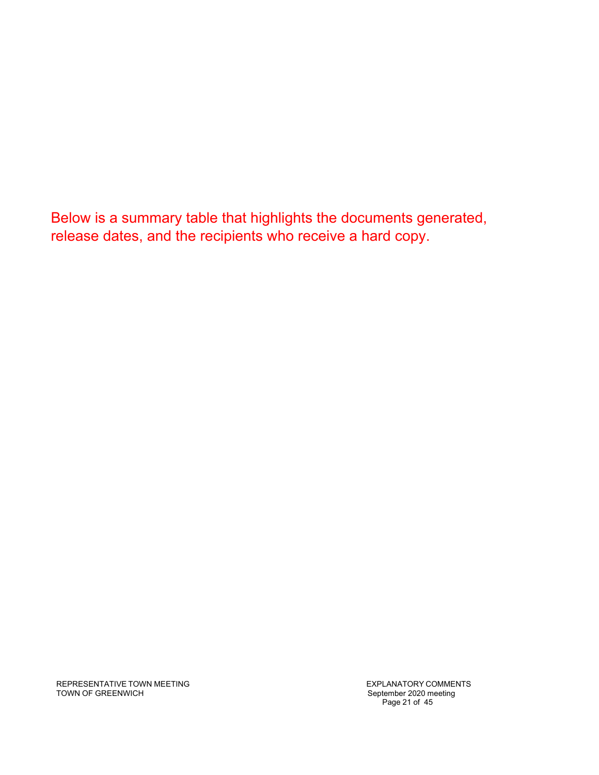Below is a summary table that highlights the documents generated, release dates, and the recipients who receive a hard copy.

REPRESENTATIVE TOWN MEETING TOWN OF GREENWICH

EXPLANATORY COMMENTS September 2020 meeting Page 21 of 45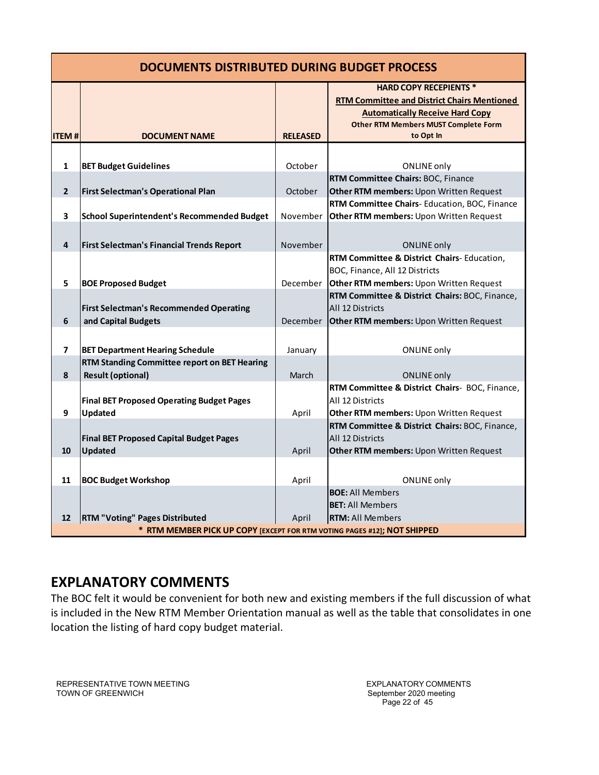| <b>DOCUMENTS DISTRIBUTED DURING BUDGET PROCESS</b> |                                                                          |                 |                                                                                     |  |
|----------------------------------------------------|--------------------------------------------------------------------------|-----------------|-------------------------------------------------------------------------------------|--|
|                                                    |                                                                          |                 | <b>HARD COPY RECEPIENTS *</b><br><b>RTM Committee and District Chairs Mentioned</b> |  |
|                                                    |                                                                          |                 | <b>Automatically Receive Hard Copy</b>                                              |  |
| <b>ITEM#</b>                                       | <b>DOCUMENT NAME</b>                                                     | <b>RELEASED</b> | <b>Other RTM Members MUST Complete Form</b><br>to Opt In                            |  |
|                                                    |                                                                          |                 |                                                                                     |  |
| $\mathbf{1}$                                       |                                                                          | October         |                                                                                     |  |
|                                                    | <b>BET Budget Guidelines</b>                                             |                 | <b>ONLINE only</b><br>RTM Committee Chairs: BOC, Finance                            |  |
| $\overline{2}$                                     | <b>First Selectman's Operational Plan</b>                                | October         | Other RTM members: Upon Written Request                                             |  |
|                                                    |                                                                          |                 | RTM Committee Chairs-Education, BOC, Finance                                        |  |
| 3                                                  | School Superintendent's Recommended Budget                               | November        | Other RTM members: Upon Written Request                                             |  |
|                                                    |                                                                          |                 |                                                                                     |  |
| $\overline{4}$                                     | First Selectman's Financial Trends Report                                | November        | <b>ONLINE only</b>                                                                  |  |
|                                                    |                                                                          |                 | RTM Committee & District Chairs-Education,                                          |  |
|                                                    |                                                                          |                 | BOC, Finance, All 12 Districts                                                      |  |
| 5                                                  | <b>BOE Proposed Budget</b>                                               | December        | Other RTM members: Upon Written Request                                             |  |
|                                                    |                                                                          |                 | RTM Committee & District Chairs: BOC, Finance,                                      |  |
|                                                    | <b>First Selectman's Recommended Operating</b>                           |                 | All 12 Districts                                                                    |  |
| 6                                                  | and Capital Budgets                                                      | December        | <b>Other RTM members: Upon Written Request</b>                                      |  |
|                                                    |                                                                          |                 |                                                                                     |  |
| $\overline{ }$                                     | <b>BET Department Hearing Schedule</b>                                   | January         | <b>ONLINE only</b>                                                                  |  |
|                                                    | RTM Standing Committee report on BET Hearing                             |                 |                                                                                     |  |
| 8                                                  | <b>Result (optional)</b>                                                 | March           | <b>ONLINE only</b>                                                                  |  |
|                                                    |                                                                          |                 | RTM Committee & District Chairs- BOC, Finance,                                      |  |
|                                                    | <b>Final BET Proposed Operating Budget Pages</b>                         |                 | All 12 Districts                                                                    |  |
| 9                                                  | Updated                                                                  | April           | Other RTM members: Upon Written Request                                             |  |
|                                                    |                                                                          |                 | RTM Committee & District Chairs: BOC, Finance,                                      |  |
| 10                                                 | <b>Final BET Proposed Capital Budget Pages</b><br><b>Updated</b>         | April           | All 12 Districts<br>Other RTM members: Upon Written Request                         |  |
|                                                    |                                                                          |                 |                                                                                     |  |
|                                                    |                                                                          |                 |                                                                                     |  |
| 11                                                 | <b>BOC Budget Workshop</b>                                               | April           | <b>ONLINE only</b>                                                                  |  |
|                                                    |                                                                          |                 | <b>BOE: All Members</b><br><b>BET:</b> All Members                                  |  |
| 12                                                 | <b>RTM "Voting" Pages Distributed</b>                                    | April           | <b>RTM: All Members</b>                                                             |  |
|                                                    | * RTM MEMBER PICK UP COPY [EXCEPT FOR RTM VOTING PAGES #12]; NOT SHIPPED |                 |                                                                                     |  |

# **EXPLANATORY COMMENTS**

The BOC felt it would be convenient for both new and existing members if the full discussion of what is included in the New RTM Member Orientation manual as well as the table that consolidates in one location the listing of hard copy budget material.

REPRESENTATIVE TOWN MEETING TOWN OF GREENWICH

EXPLANATORY COMMENTS September 2020 meeting Page 22 of 45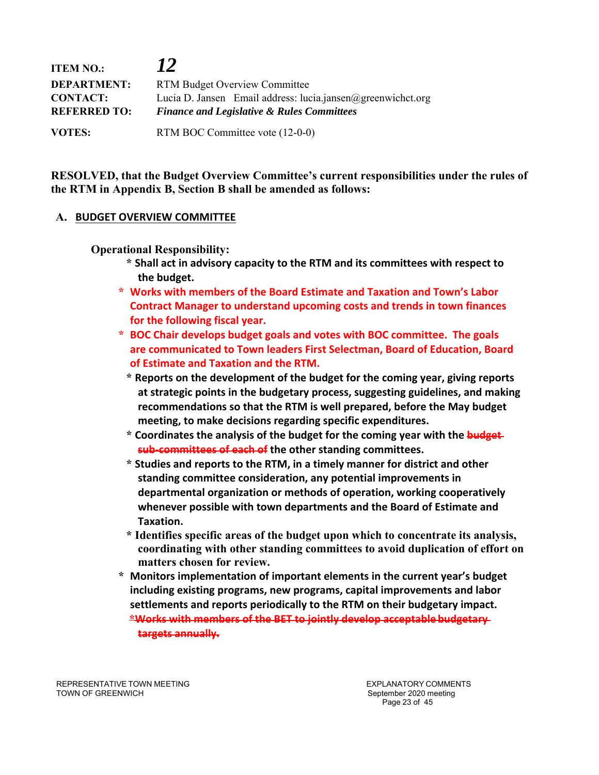| <b>ITEM NO.:</b>                       | <b>12</b>                                                                                                            |  |
|----------------------------------------|----------------------------------------------------------------------------------------------------------------------|--|
| <b>DEPARTMENT:</b>                     | <b>RTM Budget Overview Committee</b>                                                                                 |  |
| <b>CONTACT:</b><br><b>REFERRED TO:</b> | Lucia D. Jansen Email address: lucia.jansen@greenwichct.org<br><b>Finance and Legislative &amp; Rules Committees</b> |  |
| <b>VOTES:</b>                          | RTM BOC Committee vote (12-0-0)                                                                                      |  |

**RESOLVED, that the Budget Overview Committee's current responsibilities under the rules of the RTM in Appendix B, Section B shall be amended as follows:** 

#### **A. BUDGET OVERVIEW COMMITTEE**

**Operational Responsibility:** 

- **\* Shall act in advisory capacity to the RTM and its committees with respect to the budget.**
- **\* Works with members of the Board Estimate and Taxation and Town's Labor Contract Manager to understand upcoming costs and trends in town finances for the following fiscal year.**
- **\* BOC Chair develops budget goals and votes with BOC committee. The goals are communicated to Town leaders First Selectman, Board of Education, Board of Estimate and Taxation and the RTM.** 
	- **\* Reports on the development of the budget for the coming year, giving reports at strategic points in the budgetary process, suggesting guidelines, and making recommendations so that the RTM is well prepared, before the May budget meeting, to make decisions regarding specific expenditures.**
	- **\* Coordinates the analysis of the budget for the coming year with the budget sub‐committees of each of the other standing committees.**
	- **\* Studies and reports to the RTM, in a timely manner for district and other standing committee consideration, any potential improvements in departmental organization or methods of operation, working cooperatively whenever possible with town departments and the Board of Estimate and Taxation.**
	- **\* Identifies specific areas of the budget upon which to concentrate its analysis, coordinating with other standing committees to avoid duplication of effort on matters chosen for review.**
- **\* Monitors implementation of important elements in the current year's budget including existing programs, new programs, capital improvements and labor settlements and reports periodically to the RTM on their budgetary impact. \*Works with members of the BET to jointly develop acceptable budgetary targets annually.**

REPRESENTATIVE TOWN MEETING TOWN OF GREENWICH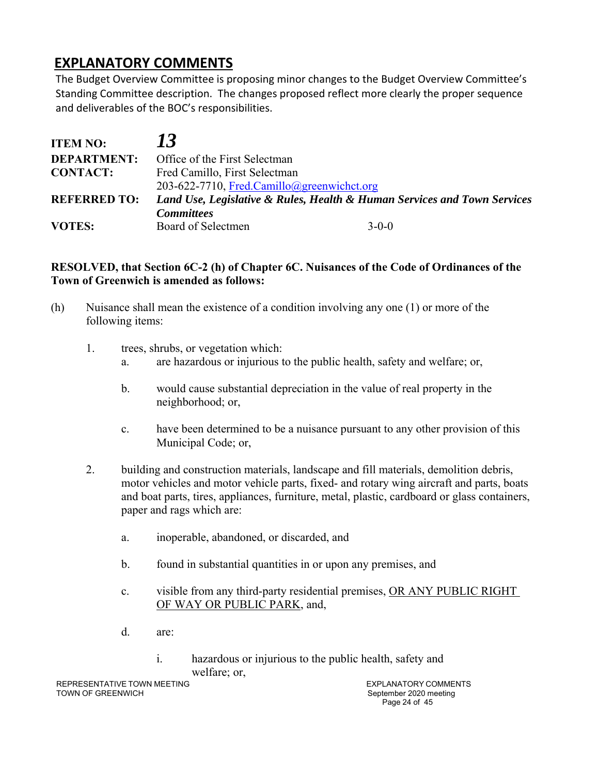# **EXPLANATORY COMMENTS**

The Budget Overview Committee is proposing minor changes to the Budget Overview Committee's Standing Committee description. The changes proposed reflect more clearly the proper sequence and deliverables of the BOC's responsibilities.

| <b>ITEM NO:</b>     | 73                                                                       |         |
|---------------------|--------------------------------------------------------------------------|---------|
| <b>DEPARTMENT:</b>  | Office of the First Selectman                                            |         |
| <b>CONTACT:</b>     | Fred Camillo, First Selectman                                            |         |
|                     | 203-622-7710, Fred.Camillo@greenwichct.org                               |         |
| <b>REFERRED TO:</b> | Land Use, Legislative & Rules, Health & Human Services and Town Services |         |
|                     | <b>Committees</b>                                                        |         |
| <b>VOTES:</b>       | Board of Selectmen                                                       | $3-0-0$ |

## **RESOLVED, that Section 6C-2 (h) of Chapter 6C. Nuisances of the Code of Ordinances of the Town of Greenwich is amended as follows:**

- (h) Nuisance shall mean the existence of a condition involving any one (1) or more of the following items:
	- 1. trees, shrubs, or vegetation which:
		- a. are hazardous or injurious to the public health, safety and welfare; or,
		- b. would cause substantial depreciation in the value of real property in the neighborhood; or,
		- c. have been determined to be a nuisance pursuant to any other provision of this Municipal Code; or,
	- 2. building and construction materials, landscape and fill materials, demolition debris, motor vehicles and motor vehicle parts, fixed- and rotary wing aircraft and parts, boats and boat parts, tires, appliances, furniture, metal, plastic, cardboard or glass containers, paper and rags which are:
		- a. inoperable, abandoned, or discarded, and
		- b. found in substantial quantities in or upon any premises, and
		- c. visible from any third-party residential premises, OR ANY PUBLIC RIGHT OF WAY OR PUBLIC PARK, and,
		- d. are:
			- i. hazardous or injurious to the public health, safety and welfare; or,

EXPLANATORY COMMENTS September 2020 meeting Page 24 of 45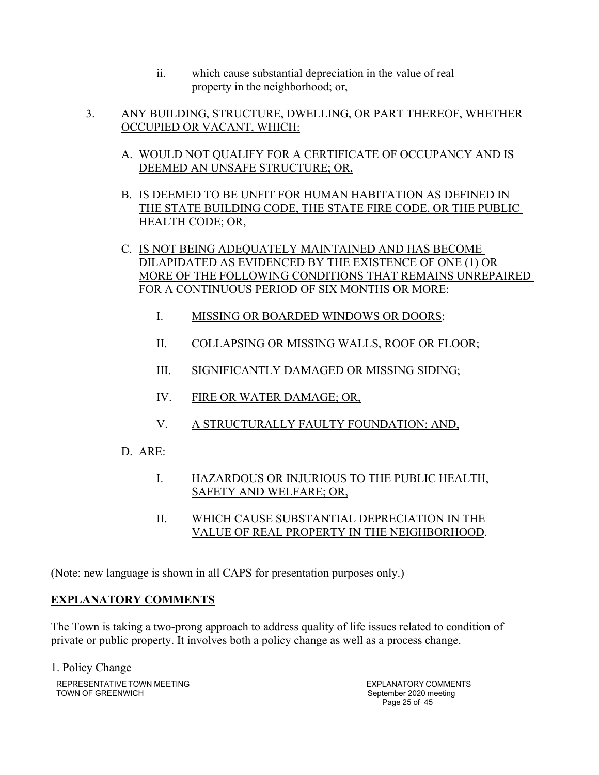- ii. which cause substantial depreciation in the value of real property in the neighborhood; or,
- 3. ANY BUILDING, STRUCTURE, DWELLING, OR PART THEREOF, WHETHER OCCUPIED OR VACANT, WHICH:
	- A. WOULD NOT QUALIFY FOR A CERTIFICATE OF OCCUPANCY AND IS DEEMED AN UNSAFE STRUCTURE; OR,
	- B. IS DEEMED TO BE UNFIT FOR HUMAN HABITATION AS DEFINED IN THE STATE BUILDING CODE, THE STATE FIRE CODE, OR THE PUBLIC HEALTH CODE; OR,
	- C. IS NOT BEING ADEQUATELY MAINTAINED AND HAS BECOME DILAPIDATED AS EVIDENCED BY THE EXISTENCE OF ONE (1) OR MORE OF THE FOLLOWING CONDITIONS THAT REMAINS UNREPAIRED FOR A CONTINUOUS PERIOD OF SIX MONTHS OR MORE:
		- I. MISSING OR BOARDED WINDOWS OR DOORS;
		- II. COLLAPSING OR MISSING WALLS, ROOF OR FLOOR;
		- III. SIGNIFICANTLY DAMAGED OR MISSING SIDING;
		- IV. FIRE OR WATER DAMAGE; OR,
		- V. A STRUCTURALLY FAULTY FOUNDATION; AND,
	- D. ARE:
		- I. HAZARDOUS OR INJURIOUS TO THE PUBLIC HEALTH, SAFETY AND WELFARE; OR,
		- II. WHICH CAUSE SUBSTANTIAL DEPRECIATION IN THE VALUE OF REAL PROPERTY IN THE NEIGHBORHOOD.

(Note: new language is shown in all CAPS for presentation purposes only.)

## **EXPLANATORY COMMENTS**

The Town is taking a two-prong approach to address quality of life issues related to condition of private or public property. It involves both a policy change as well as a process change.

REPRESENTATIVE TOWN MEETING TOWN OF GREENWICH 1. Policy Change

EXPLANATORY COMMENTS September 2020 meeting Page 25 of 45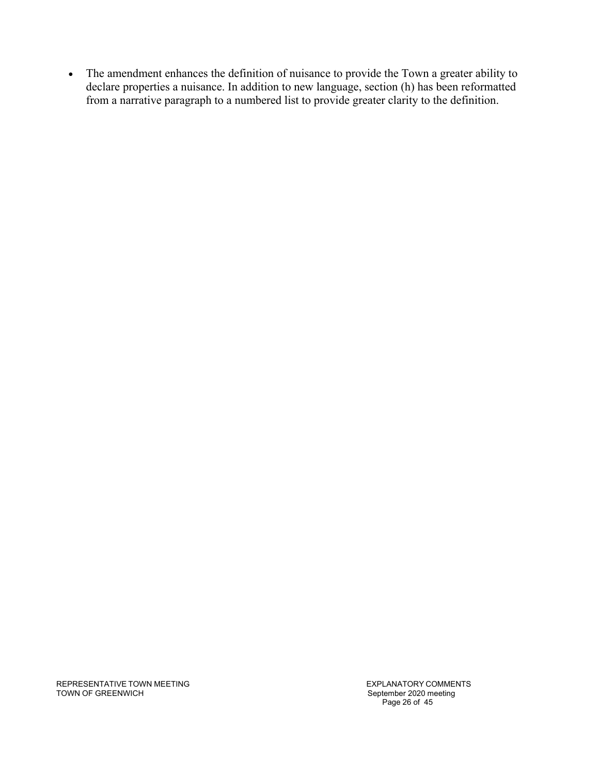The amendment enhances the definition of nuisance to provide the Town a greater ability to declare properties a nuisance. In addition to new language, section (h) has been reformatted from a narrative paragraph to a numbered list to provide greater clarity to the definition.

REPRESENTATIVE TOWN MEETING TOWN OF GREENWICH

EXPLANATORY COMMENTS September 2020 meeting Page 26 of 45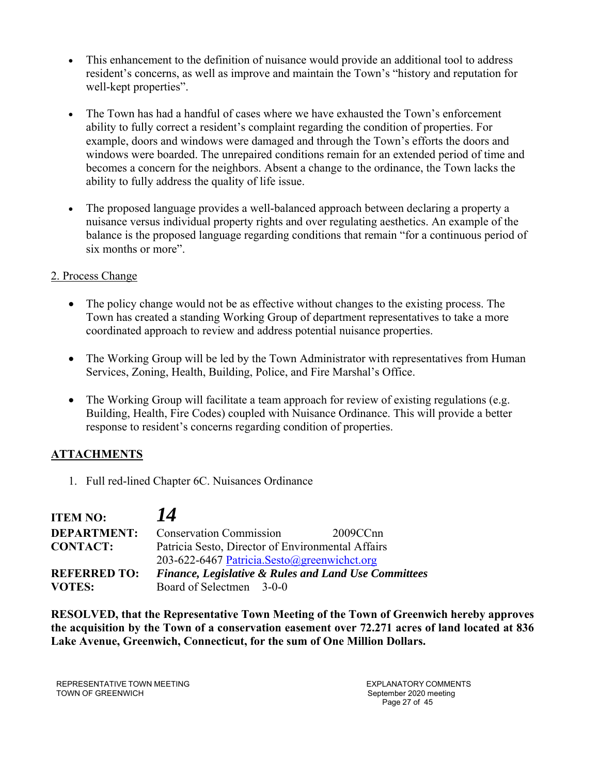- This enhancement to the definition of nuisance would provide an additional tool to address resident's concerns, as well as improve and maintain the Town's "history and reputation for well-kept properties".
- The Town has had a handful of cases where we have exhausted the Town's enforcement ability to fully correct a resident's complaint regarding the condition of properties. For example, doors and windows were damaged and through the Town's efforts the doors and windows were boarded. The unrepaired conditions remain for an extended period of time and becomes a concern for the neighbors. Absent a change to the ordinance, the Town lacks the ability to fully address the quality of life issue.
- The proposed language provides a well-balanced approach between declaring a property a nuisance versus individual property rights and over regulating aesthetics. An example of the balance is the proposed language regarding conditions that remain "for a continuous period of six months or more".

## 2. Process Change

- The policy change would not be as effective without changes to the existing process. The Town has created a standing Working Group of department representatives to take a more coordinated approach to review and address potential nuisance properties.
- The Working Group will be led by the Town Administrator with representatives from Human Services, Zoning, Health, Building, Police, and Fire Marshal's Office.
- The Working Group will facilitate a team approach for review of existing regulations (e.g. Building, Health, Fire Codes) coupled with Nuisance Ordinance. This will provide a better response to resident's concerns regarding condition of properties.

## **ATTACHMENTS**

1. Full red-lined Chapter 6C. Nuisances Ordinance

| <b>ITEM NO:</b>     | 14                                                              |          |
|---------------------|-----------------------------------------------------------------|----------|
| <b>DEPARTMENT:</b>  | <b>Conservation Commission</b>                                  | 2009CCnn |
| <b>CONTACT:</b>     | Patricia Sesto, Director of Environmental Affairs               |          |
|                     | 203-622-6467 Patricia.Sesto@greenwichct.org                     |          |
| <b>REFERRED TO:</b> | <b>Finance, Legislative &amp; Rules and Land Use Committees</b> |          |
| <b>VOTES:</b>       | Board of Selectmen 3-0-0                                        |          |

**RESOLVED, that the Representative Town Meeting of the Town of Greenwich hereby approves the acquisition by the Town of a conservation easement over 72.271 acres of land located at 836 Lake Avenue, Greenwich, Connecticut, for the sum of One Million Dollars.** 

REPRESENTATIVE TOWN MEETING TOWN OF GREENWICH

EXPLANATORY COMMENTS September 2020 meeting Page 27 of 45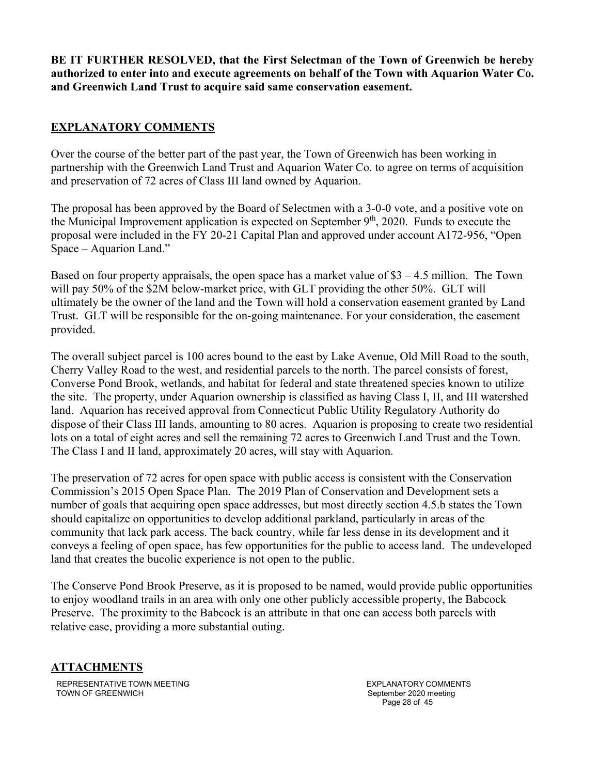**BE IT FURTHER RESOLVED, that the First Selectman of the Town of Greenwich be hereby authorized to enter into and execute agreements on behalf of the Town with Aquarion Water Co. and Greenwich Land Trust to acquire said same conservation easement.** 

## **EXPLANATORY COMMENTS**

Over the course of the better part of the past year, the Town of Greenwich has been working in partnership with the Greenwich Land Trust and Aquarion Water Co. to agree on terms of acquisition and preservation of 72 acres of Class III land owned by Aquarion.

The proposal has been approved by the Board of Selectmen with a 3-0-0 vote, and a positive vote on the Municipal Improvement application is expected on September  $9<sup>th</sup>$ , 2020. Funds to execute the proposal were included in the FY 20-21 Capital Plan and approved under account A172-956, "Open Space – Aquarion Land."

Based on four property appraisals, the open space has a market value of  $$3 - 4.5$  million. The Town will pay 50% of the \$2M below-market price, with GLT providing the other 50%. GLT will ultimately be the owner of the land and the Town will hold a conservation easement granted by Land Trust. GLT will be responsible for the on-going maintenance. For your consideration, the easement provided.

The overall subject parcel is 100 acres bound to the east by Lake Avenue, Old Mill Road to the south, Cherry Valley Road to the west, and residential parcels to the north. The parcel consists of forest, Converse Pond Brook, wetlands, and habitat for federal and state threatened species known to utilize the site. The property, under Aquarion ownership is classified as having Class I, II, and III watershed land. Aquarion has received approval from Connecticut Public Utility Regulatory Authority do dispose of their Class III lands, amounting to 80 acres. Aquarion is proposing to create two residential lots on a total of eight acres and sell the remaining 72 acres to Greenwich Land Trust and the Town. The Class I and II land, approximately 20 acres, will stay with Aquarion.

The preservation of 72 acres for open space with public access is consistent with the Conservation Commission's 2015 Open Space Plan. The 2019 Plan of Conservation and Development sets a number of goals that acquiring open space addresses, but most directly section 4.5.b states the Town should capitalize on opportunities to develop additional parkland, particularly in areas of the community that lack park access. The back country, while far less dense in its development and it conveys a feeling of open space, has few opportunities for the public to access land. The undeveloped land that creates the bucolic experience is not open to the public.

The Conserve Pond Brook Preserve, as it is proposed to be named, would provide public opportunities to enjoy woodland trails in an area with only one other publicly accessible property, the Babcock Preserve. The proximity to the Babcock is an attribute in that one can access both parcels with relative ease, providing a more substantial outing.

## **ATTACHMENTS**

REPRESENTATIVE TOWN MEETING TOWN OF GREENWICH

EXPLANATORY COMMENTS September 2020 meeting Page 28 of 45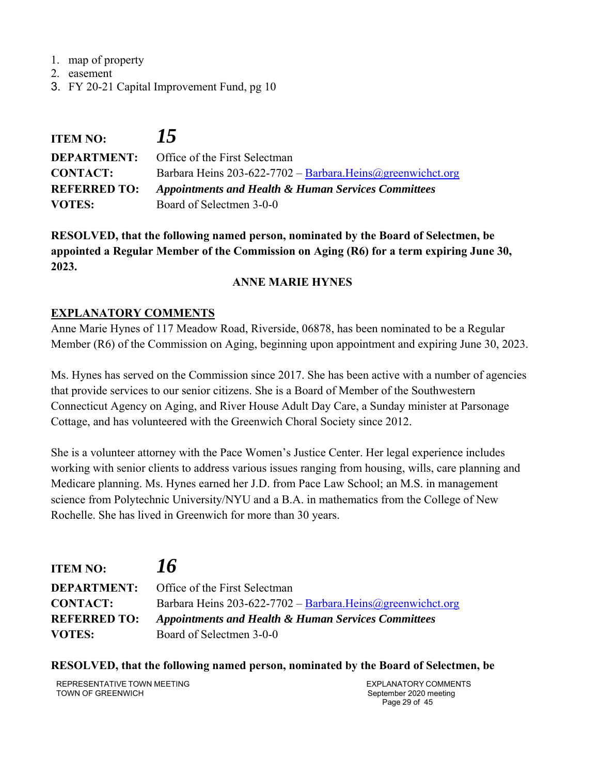- 1. map of property
- 2. easement
- 3. FY 20-21 Capital Improvement Fund, pg 10

| <b>ITEM NO:</b>     | 15                                                           |
|---------------------|--------------------------------------------------------------|
|                     | <b>DEPARTMENT:</b> Office of the First Selectman             |
| <b>CONTACT:</b>     | Barbara Heins 203-622-7702 - Barbara. Heins @greenwichct.org |
| <b>REFERRED TO:</b> | Appointments and Health & Human Services Committees          |
| <b>VOTES:</b>       | Board of Selectmen 3-0-0                                     |

**RESOLVED, that the following named person, nominated by the Board of Selectmen, be appointed a Regular Member of the Commission on Aging (R6) for a term expiring June 30, 2023.** 

## **ANNE MARIE HYNES**

## **EXPLANATORY COMMENTS**

Anne Marie Hynes of 117 Meadow Road, Riverside, 06878, has been nominated to be a Regular Member (R6) of the Commission on Aging, beginning upon appointment and expiring June 30, 2023.

Ms. Hynes has served on the Commission since 2017. She has been active with a number of agencies that provide services to our senior citizens. She is a Board of Member of the Southwestern Connecticut Agency on Aging, and River House Adult Day Care, a Sunday minister at Parsonage Cottage, and has volunteered with the Greenwich Choral Society since 2012.

She is a volunteer attorney with the Pace Women's Justice Center. Her legal experience includes working with senior clients to address various issues ranging from housing, wills, care planning and Medicare planning. Ms. Hynes earned her J.D. from Pace Law School; an M.S. in management science from Polytechnic University/NYU and a B.A. in mathematics from the College of New Rochelle. She has lived in Greenwich for more than 30 years.

**ITEM NO:** *16* **DEPARTMENT:** Office of the First Selectman **CONTACT:** Barbara Heins 203-622-7702 – Barbara.Heins@greenwichct.org **REFERRED TO:** *Appointments and Health & Human Services Committees* **VOTES:** Board of Selectmen 3-0-0

**RESOLVED, that the following named person, nominated by the Board of Selectmen, be** 

REPRESENTATIVE TOWN MEETING TOWN OF GREENWICH

EXPLANATORY COMMENTS September 2020 meeting Page 29 of 45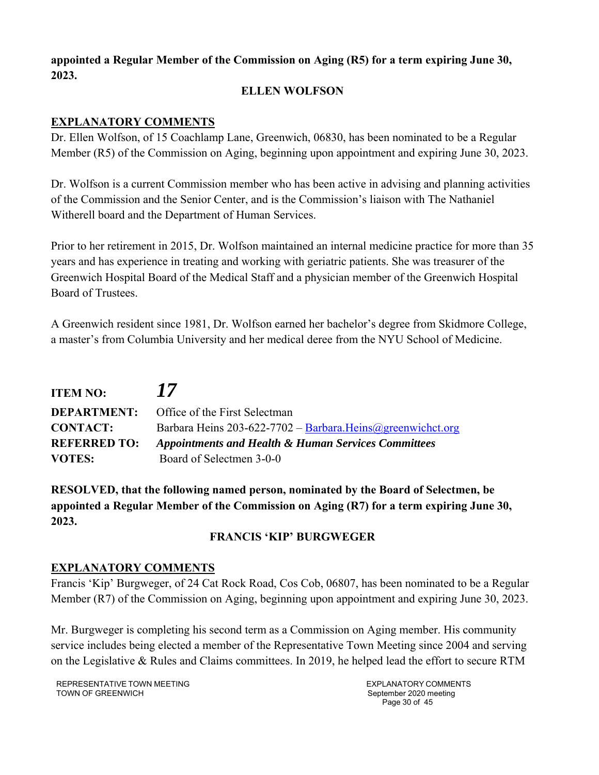# **appointed a Regular Member of the Commission on Aging (R5) for a term expiring June 30, 2023.**

## **ELLEN WOLFSON**

## **EXPLANATORY COMMENTS**

Dr. Ellen Wolfson, of 15 Coachlamp Lane, Greenwich, 06830, has been nominated to be a Regular Member (R5) of the Commission on Aging, beginning upon appointment and expiring June 30, 2023.

Dr. Wolfson is a current Commission member who has been active in advising and planning activities of the Commission and the Senior Center, and is the Commission's liaison with The Nathaniel Witherell board and the Department of Human Services.

Prior to her retirement in 2015, Dr. Wolfson maintained an internal medicine practice for more than 35 years and has experience in treating and working with geriatric patients. She was treasurer of the Greenwich Hospital Board of the Medical Staff and a physician member of the Greenwich Hospital Board of Trustees.

A Greenwich resident since 1981, Dr. Wolfson earned her bachelor's degree from Skidmore College, a master's from Columbia University and her medical deree from the NYU School of Medicine.

| <b>ITEM NO:</b>     | 17                                                           |
|---------------------|--------------------------------------------------------------|
| <b>DEPARTMENT:</b>  | Office of the First Selectman                                |
| <b>CONTACT:</b>     | Barbara Heins 203-622-7702 - Barbara. Heins @greenwichct.org |
| <b>REFERRED TO:</b> | Appointments and Health & Human Services Committees          |
| <b>VOTES:</b>       | Board of Selectmen 3-0-0                                     |

**RESOLVED, that the following named person, nominated by the Board of Selectmen, be appointed a Regular Member of the Commission on Aging (R7) for a term expiring June 30, 2023.** 

# **FRANCIS 'KIP' BURGWEGER**

## **EXPLANATORY COMMENTS**

Francis 'Kip' Burgweger, of 24 Cat Rock Road, Cos Cob, 06807, has been nominated to be a Regular Member (R7) of the Commission on Aging, beginning upon appointment and expiring June 30, 2023.

Mr. Burgweger is completing his second term as a Commission on Aging member. His community service includes being elected a member of the Representative Town Meeting since 2004 and serving on the Legislative & Rules and Claims committees. In 2019, he helped lead the effort to secure RTM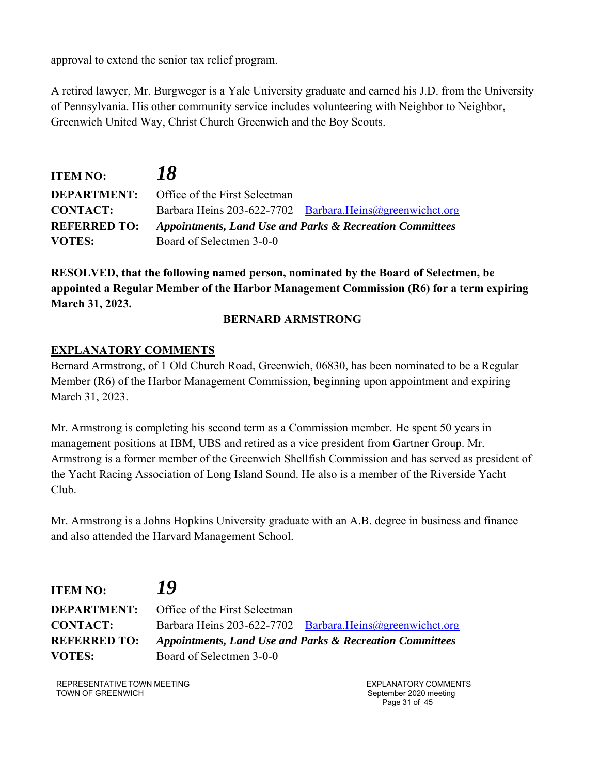approval to extend the senior tax relief program.

A retired lawyer, Mr. Burgweger is a Yale University graduate and earned his J.D. from the University of Pennsylvania. His other community service includes volunteering with Neighbor to Neighbor, Greenwich United Way, Christ Church Greenwich and the Boy Scouts.

| <b>ITEM NO:</b>     | 18                                                           |
|---------------------|--------------------------------------------------------------|
|                     | <b>DEPARTMENT:</b> Office of the First Selectman             |
| <b>CONTACT:</b>     | Barbara Heins 203-622-7702 - Barbara. Heins @greenwichct.org |
| <b>REFERRED TO:</b> | Appointments, Land Use and Parks & Recreation Committees     |
| <b>VOTES:</b>       | Board of Selectmen 3-0-0                                     |

**RESOLVED, that the following named person, nominated by the Board of Selectmen, be appointed a Regular Member of the Harbor Management Commission (R6) for a term expiring March 31, 2023.** 

## **BERNARD ARMSTRONG**

## **EXPLANATORY COMMENTS**

Bernard Armstrong, of 1 Old Church Road, Greenwich, 06830, has been nominated to be a Regular Member (R6) of the Harbor Management Commission, beginning upon appointment and expiring March 31, 2023.

Mr. Armstrong is completing his second term as a Commission member. He spent 50 years in management positions at IBM, UBS and retired as a vice president from Gartner Group. Mr. Armstrong is a former member of the Greenwich Shellfish Commission and has served as president of the Yacht Racing Association of Long Island Sound. He also is a member of the Riverside Yacht Club.

Mr. Armstrong is a Johns Hopkins University graduate with an A.B. degree in business and finance and also attended the Harvard Management School.

| <b>ITEM NO:</b>     | 19                                                                  |
|---------------------|---------------------------------------------------------------------|
| <b>DEPARTMENT:</b>  | Office of the First Selectman                                       |
| <b>CONTACT:</b>     | Barbara Heins 203-622-7702 - Barbara. Heins @greenwichct.org        |
| <b>REFERRED TO:</b> | <b>Appointments, Land Use and Parks &amp; Recreation Committees</b> |
| <b>VOTES:</b>       | Board of Selectmen 3-0-0                                            |

REPRESENTATIVE TOWN MEETING TOWN OF GREENWICH

EXPLANATORY COMMENTS September 2020 meeting Page 31 of 45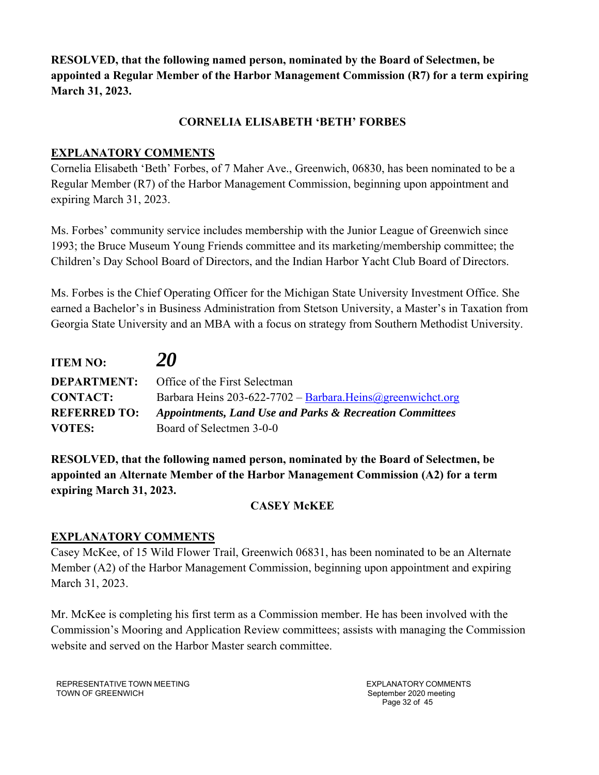**RESOLVED, that the following named person, nominated by the Board of Selectmen, be appointed a Regular Member of the Harbor Management Commission (R7) for a term expiring March 31, 2023.** 

## **CORNELIA ELISABETH 'BETH' FORBES**

## **EXPLANATORY COMMENTS**

Cornelia Elisabeth 'Beth' Forbes, of 7 Maher Ave., Greenwich, 06830, has been nominated to be a Regular Member (R7) of the Harbor Management Commission, beginning upon appointment and expiring March 31, 2023.

Ms. Forbes' community service includes membership with the Junior League of Greenwich since 1993; the Bruce Museum Young Friends committee and its marketing/membership committee; the Children's Day School Board of Directors, and the Indian Harbor Yacht Club Board of Directors.

Ms. Forbes is the Chief Operating Officer for the Michigan State University Investment Office. She earned a Bachelor's in Business Administration from Stetson University, a Master's in Taxation from Georgia State University and an MBA with a focus on strategy from Southern Methodist University.

| <b>ITEM NO:</b>     | 20                                                           |
|---------------------|--------------------------------------------------------------|
| <b>DEPARTMENT:</b>  | Office of the First Selectman                                |
| <b>CONTACT:</b>     | Barbara Heins 203-622-7702 - Barbara. Heins @greenwichct.org |
| <b>REFERRED TO:</b> | Appointments, Land Use and Parks & Recreation Committees     |
| <b>VOTES:</b>       | Board of Selectmen 3-0-0                                     |

**RESOLVED, that the following named person, nominated by the Board of Selectmen, be appointed an Alternate Member of the Harbor Management Commission (A2) for a term expiring March 31, 2023.** 

# **CASEY McKEE**

## **EXPLANATORY COMMENTS**

Casey McKee, of 15 Wild Flower Trail, Greenwich 06831, has been nominated to be an Alternate Member (A2) of the Harbor Management Commission, beginning upon appointment and expiring March 31, 2023.

Mr. McKee is completing his first term as a Commission member. He has been involved with the Commission's Mooring and Application Review committees; assists with managing the Commission website and served on the Harbor Master search committee.

REPRESENTATIVE TOWN MEETING TOWN OF GREENWICH

EXPLANATORY COMMENTS September 2020 meeting Page 32 of 45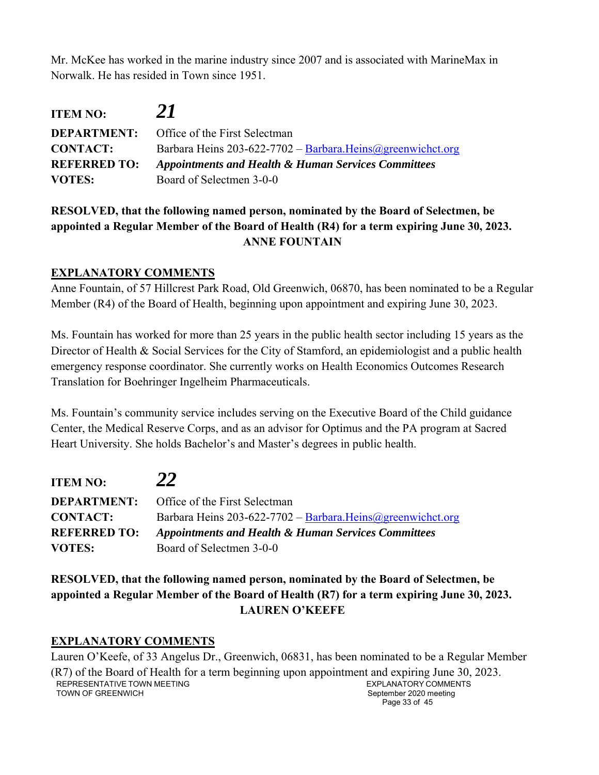Mr. McKee has worked in the marine industry since 2007 and is associated with MarineMax in Norwalk. He has resided in Town since 1951.

| <b>ITEM NO:</b>     | 21                                                           |
|---------------------|--------------------------------------------------------------|
|                     | <b>DEPARTMENT:</b> Office of the First Selectman             |
| <b>CONTACT:</b>     | Barbara Heins 203-622-7702 - Barbara. Heins @greenwichct.org |
| <b>REFERRED TO:</b> | Appointments and Health & Human Services Committees          |
| <b>VOTES:</b>       | Board of Selectmen 3-0-0                                     |

# **RESOLVED, that the following named person, nominated by the Board of Selectmen, be appointed a Regular Member of the Board of Health (R4) for a term expiring June 30, 2023. ANNE FOUNTAIN**

## **EXPLANATORY COMMENTS**

Anne Fountain, of 57 Hillcrest Park Road, Old Greenwich, 06870, has been nominated to be a Regular Member (R4) of the Board of Health, beginning upon appointment and expiring June 30, 2023.

Ms. Fountain has worked for more than 25 years in the public health sector including 15 years as the Director of Health & Social Services for the City of Stamford, an epidemiologist and a public health emergency response coordinator. She currently works on Health Economics Outcomes Research Translation for Boehringer Ingelheim Pharmaceuticals.

Ms. Fountain's community service includes serving on the Executive Board of the Child guidance Center, the Medical Reserve Corps, and as an advisor for Optimus and the PA program at Sacred Heart University. She holds Bachelor's and Master's degrees in public health.

| <b>ITEM NO:</b>     | 22                                                           |
|---------------------|--------------------------------------------------------------|
| <b>DEPARTMENT:</b>  | Office of the First Selectman                                |
| <b>CONTACT:</b>     | Barbara Heins 203-622-7702 - Barbara. Heins @greenwichct.org |
| <b>REFERRED TO:</b> | Appointments and Health & Human Services Committees          |
| <b>VOTES:</b>       | Board of Selectmen 3-0-0                                     |

**RESOLVED, that the following named person, nominated by the Board of Selectmen, be appointed a Regular Member of the Board of Health (R7) for a term expiring June 30, 2023. LAUREN O'KEEFE** 

# **EXPLANATORY COMMENTS**

REPRESENTATIVE TOWN MEETING TOWN OF GREENWICH EXPLANATORY COMMENTS September 2020 meeting Page 33 of 45 Lauren O'Keefe, of 33 Angelus Dr., Greenwich, 06831, has been nominated to be a Regular Member (R7) of the Board of Health for a term beginning upon appointment and expiring June 30, 2023.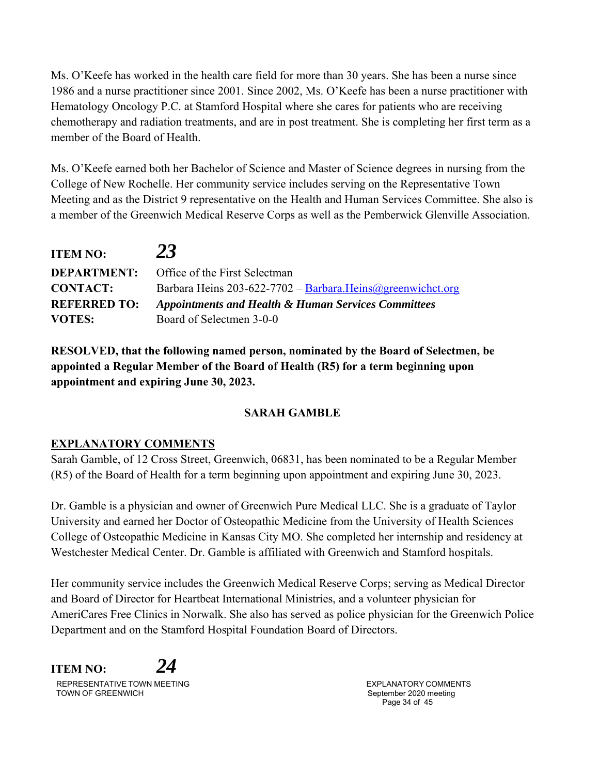Ms. O'Keefe has worked in the health care field for more than 30 years. She has been a nurse since 1986 and a nurse practitioner since 2001. Since 2002, Ms. O'Keefe has been a nurse practitioner with Hematology Oncology P.C. at Stamford Hospital where she cares for patients who are receiving chemotherapy and radiation treatments, and are in post treatment. She is completing her first term as a member of the Board of Health.

Ms. O'Keefe earned both her Bachelor of Science and Master of Science degrees in nursing from the College of New Rochelle. Her community service includes serving on the Representative Town Meeting and as the District 9 representative on the Health and Human Services Committee. She also is a member of the Greenwich Medical Reserve Corps as well as the Pemberwick Glenville Association.

| <b>ITEM NO:</b>     | 23                                                           |
|---------------------|--------------------------------------------------------------|
| <b>DEPARTMENT:</b>  | Office of the First Selectman                                |
| <b>CONTACT:</b>     | Barbara Heins 203-622-7702 - Barbara. Heins @greenwichct.org |
| <b>REFERRED TO:</b> | Appointments and Health & Human Services Committees          |
| <b>VOTES:</b>       | Board of Selectmen 3-0-0                                     |

**RESOLVED, that the following named person, nominated by the Board of Selectmen, be appointed a Regular Member of the Board of Health (R5) for a term beginning upon appointment and expiring June 30, 2023.** 

# **SARAH GAMBLE**

## **EXPLANATORY COMMENTS**

Sarah Gamble, of 12 Cross Street, Greenwich, 06831, has been nominated to be a Regular Member (R5) of the Board of Health for a term beginning upon appointment and expiring June 30, 2023.

Dr. Gamble is a physician and owner of Greenwich Pure Medical LLC. She is a graduate of Taylor University and earned her Doctor of Osteopathic Medicine from the University of Health Sciences College of Osteopathic Medicine in Kansas City MO. She completed her internship and residency at Westchester Medical Center. Dr. Gamble is affiliated with Greenwich and Stamford hospitals.

Her community service includes the Greenwich Medical Reserve Corps; serving as Medical Director and Board of Director for Heartbeat International Ministries, and a volunteer physician for AmeriCares Free Clinics in Norwalk. She also has served as police physician for the Greenwich Police Department and on the Stamford Hospital Foundation Board of Directors.

REPRESENTATIVE TOWN MEETING TOWN OF GREENWICH **ITEM NO:** *24*

EXPLANATORY COMMENTS September 2020 meeting Page 34 of 45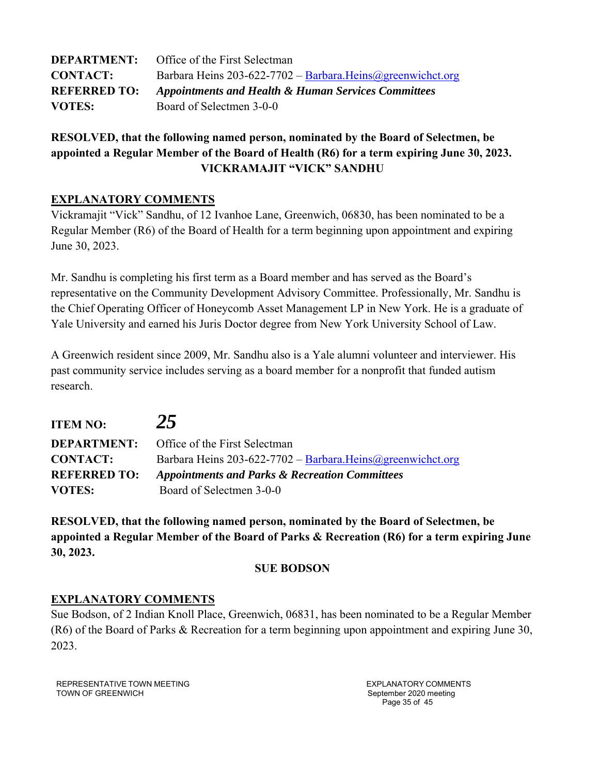| <b>DEPARTMENT:</b>  | Office of the First Selectman                                |
|---------------------|--------------------------------------------------------------|
| <b>CONTACT:</b>     | Barbara Heins 203-622-7702 - Barbara. Heins @greenwichct.org |
| <b>REFERRED TO:</b> | Appointments and Health & Human Services Committees          |
| <b>VOTES:</b>       | Board of Selectmen 3-0-0                                     |

# **RESOLVED, that the following named person, nominated by the Board of Selectmen, be appointed a Regular Member of the Board of Health (R6) for a term expiring June 30, 2023. VICKRAMAJIT "VICK" SANDHU**

## **EXPLANATORY COMMENTS**

Vickramajit "Vick" Sandhu, of 12 Ivanhoe Lane, Greenwich, 06830, has been nominated to be a Regular Member (R6) of the Board of Health for a term beginning upon appointment and expiring June 30, 2023.

Mr. Sandhu is completing his first term as a Board member and has served as the Board's representative on the Community Development Advisory Committee. Professionally, Mr. Sandhu is the Chief Operating Officer of Honeycomb Asset Management LP in New York. He is a graduate of Yale University and earned his Juris Doctor degree from New York University School of Law.

A Greenwich resident since 2009, Mr. Sandhu also is a Yale alumni volunteer and interviewer. His past community service includes serving as a board member for a nonprofit that funded autism research.

| <b>ITEM NO:</b>     | 25                                                          |
|---------------------|-------------------------------------------------------------|
| <b>DEPARTMENT:</b>  | <b>Office of the First Selectman</b>                        |
| <b>CONTACT:</b>     | Barbara Heins 203-622-7702 - Barbara. Heins@greenwichct.org |
| <b>REFERRED TO:</b> | <b>Appointments and Parks &amp; Recreation Committees</b>   |
| <b>VOTES:</b>       | Board of Selectmen 3-0-0                                    |

**RESOLVED, that the following named person, nominated by the Board of Selectmen, be appointed a Regular Member of the Board of Parks & Recreation (R6) for a term expiring June 30, 2023.** 

## **SUE BODSON**

#### **EXPLANATORY COMMENTS**

Sue Bodson, of 2 Indian Knoll Place, Greenwich, 06831, has been nominated to be a Regular Member (R6) of the Board of Parks & Recreation for a term beginning upon appointment and expiring June 30, 2023.

REPRESENTATIVE TOWN MEETING TOWN OF GREENWICH

EXPLANATORY COMMENTS September 2020 meeting Page 35 of 45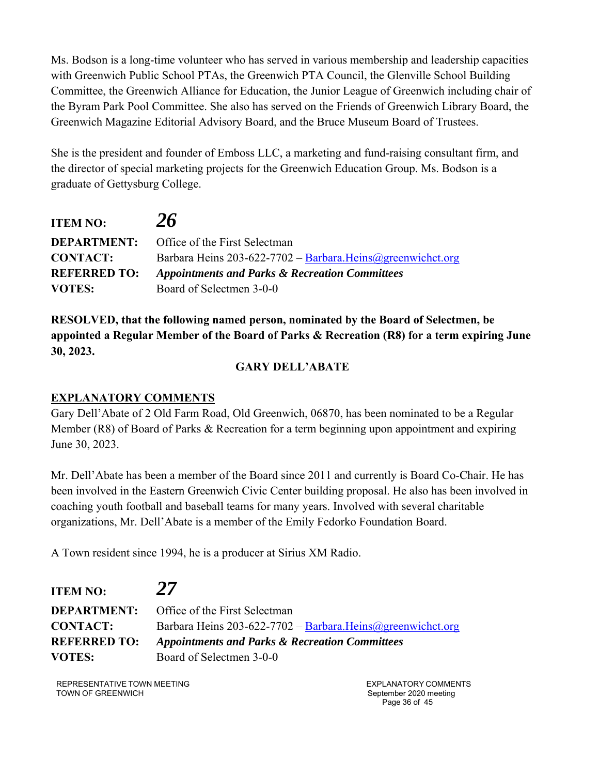Ms. Bodson is a long-time volunteer who has served in various membership and leadership capacities with Greenwich Public School PTAs, the Greenwich PTA Council, the Glenville School Building Committee, the Greenwich Alliance for Education, the Junior League of Greenwich including chair of the Byram Park Pool Committee. She also has served on the Friends of Greenwich Library Board, the Greenwich Magazine Editorial Advisory Board, and the Bruce Museum Board of Trustees.

She is the president and founder of Emboss LLC, a marketing and fund-raising consultant firm, and the director of special marketing projects for the Greenwich Education Group. Ms. Bodson is a graduate of Gettysburg College.

| <b>ITEM NO:</b>     | 26                                                           |
|---------------------|--------------------------------------------------------------|
|                     | <b>DEPARTMENT:</b> Office of the First Selectman             |
| <b>CONTACT:</b>     | Barbara Heins 203-622-7702 - Barbara. Heins @greenwichct.org |
| <b>REFERRED TO:</b> | <b>Appointments and Parks &amp; Recreation Committees</b>    |
| <b>VOTES:</b>       | Board of Selectmen 3-0-0                                     |

**RESOLVED, that the following named person, nominated by the Board of Selectmen, be appointed a Regular Member of the Board of Parks & Recreation (R8) for a term expiring June 30, 2023.** 

## **GARY DELL'ABATE**

## **EXPLANATORY COMMENTS**

Gary Dell'Abate of 2 Old Farm Road, Old Greenwich, 06870, has been nominated to be a Regular Member (R8) of Board of Parks & Recreation for a term beginning upon appointment and expiring June 30, 2023.

Mr. Dell'Abate has been a member of the Board since 2011 and currently is Board Co-Chair. He has been involved in the Eastern Greenwich Civic Center building proposal. He also has been involved in coaching youth football and baseball teams for many years. Involved with several charitable organizations, Mr. Dell'Abate is a member of the Emily Fedorko Foundation Board.

A Town resident since 1994, he is a producer at Sirius XM Radio.

| <b>ITEM NO:</b>     | 27                                                          |
|---------------------|-------------------------------------------------------------|
|                     | <b>DEPARTMENT:</b> Office of the First Selectman            |
| <b>CONTACT:</b>     | Barbara Heins 203-622-7702 - Barbara. Heins@greenwichct.org |
| <b>REFERRED TO:</b> | <b>Appointments and Parks &amp; Recreation Committees</b>   |
| <b>VOTES:</b>       | Board of Selectmen 3-0-0                                    |

REPRESENTATIVE TOWN MEETING TOWN OF GREENWICH

EXPLANATORY COMMENTS September 2020 meeting Page 36 of 45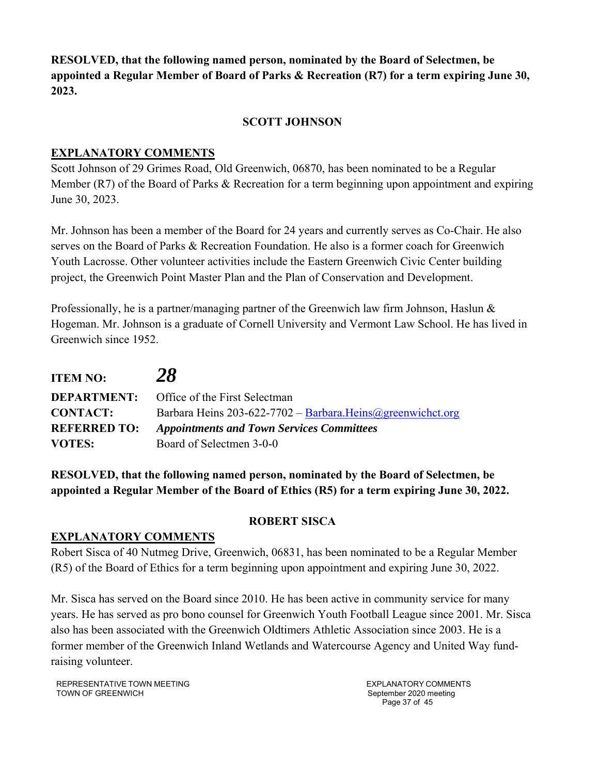**RESOLVED, that the following named person, nominated by the Board of Selectmen, be appointed a Regular Member of Board of Parks & Recreation (R7) for a term expiring June 30, 2023.** 

## **SCOTT JOHNSON**

## **EXPLANATORY COMMENTS**

Scott Johnson of 29 Grimes Road, Old Greenwich, 06870, has been nominated to be a Regular Member (R7) of the Board of Parks & Recreation for a term beginning upon appointment and expiring June 30, 2023.

Mr. Johnson has been a member of the Board for 24 years and currently serves as Co-Chair. He also serves on the Board of Parks & Recreation Foundation. He also is a former coach for Greenwich Youth Lacrosse. Other volunteer activities include the Eastern Greenwich Civic Center building project, the Greenwich Point Master Plan and the Plan of Conservation and Development.

Professionally, he is a partner/managing partner of the Greenwich law firm Johnson, Haslun  $\&$ Hogeman. Mr. Johnson is a graduate of Cornell University and Vermont Law School. He has lived in Greenwich since 1952.

| <b>ITEM NO:</b>     | 28                                                           |
|---------------------|--------------------------------------------------------------|
| <b>DEPARTMENT:</b>  | Office of the First Selectman                                |
| <b>CONTACT:</b>     | Barbara Heins 203-622-7702 - Barbara. Heins @greenwichct.org |
| <b>REFERRED TO:</b> | <b>Appointments and Town Services Committees</b>             |
| <b>VOTES:</b>       | Board of Selectmen 3-0-0                                     |

**RESOLVED, that the following named person, nominated by the Board of Selectmen, be appointed a Regular Member of the Board of Ethics (R5) for a term expiring June 30, 2022.** 

## **EXPLANATORY COMMENTS**

## **ROBERT SISCA**

Robert Sisca of 40 Nutmeg Drive, Greenwich, 06831, has been nominated to be a Regular Member (R5) of the Board of Ethics for a term beginning upon appointment and expiring June 30, 2022.

Mr. Sisca has served on the Board since 2010. He has been active in community service for many years. He has served as pro bono counsel for Greenwich Youth Football League since 2001. Mr. Sisca also has been associated with the Greenwich Oldtimers Athletic Association since 2003. He is a former member of the Greenwich Inland Wetlands and Watercourse Agency and United Way fundraising volunteer.

REPRESENTATIVE TOWN MEETING TOWN OF GREENWICH

EXPLANATORY COMMENTS September 2020 meeting Page 37 of 45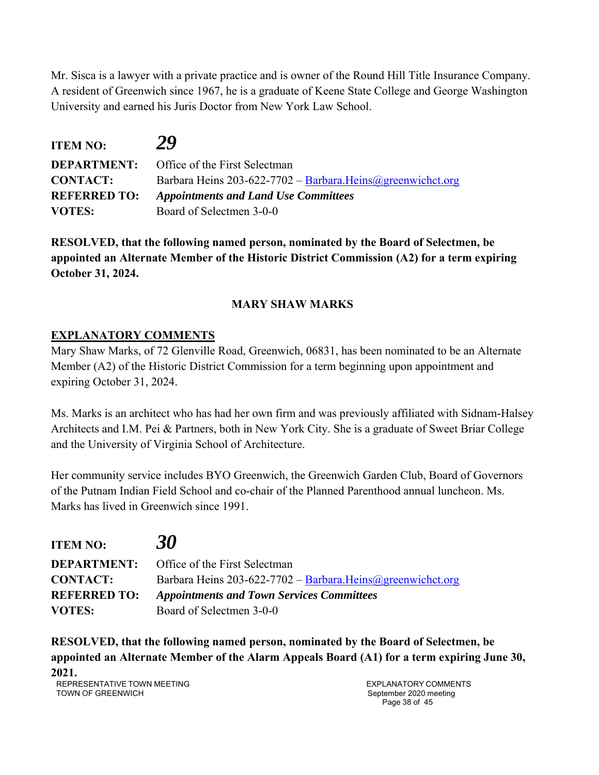Mr. Sisca is a lawyer with a private practice and is owner of the Round Hill Title Insurance Company. A resident of Greenwich since 1967, he is a graduate of Keene State College and George Washington University and earned his Juris Doctor from New York Law School.

| <b>ITEM NO:</b>     | 29                                                           |
|---------------------|--------------------------------------------------------------|
|                     | <b>DEPARTMENT:</b> Office of the First Selectman             |
| <b>CONTACT:</b>     | Barbara Heins 203-622-7702 - Barbara. Heins @greenwichct.org |
| <b>REFERRED TO:</b> | <b>Appointments and Land Use Committees</b>                  |
| <b>VOTES:</b>       | Board of Selectmen 3-0-0                                     |

**RESOLVED, that the following named person, nominated by the Board of Selectmen, be appointed an Alternate Member of the Historic District Commission (A2) for a term expiring October 31, 2024.** 

# **MARY SHAW MARKS**

# **EXPLANATORY COMMENTS**

Mary Shaw Marks, of 72 Glenville Road, Greenwich, 06831, has been nominated to be an Alternate Member (A2) of the Historic District Commission for a term beginning upon appointment and expiring October 31, 2024.

Ms. Marks is an architect who has had her own firm and was previously affiliated with Sidnam-Halsey Architects and I.M. Pei & Partners, both in New York City. She is a graduate of Sweet Briar College and the University of Virginia School of Architecture.

Her community service includes BYO Greenwich, the Greenwich Garden Club, Board of Governors of the Putnam Indian Field School and co-chair of the Planned Parenthood annual luncheon. Ms. Marks has lived in Greenwich since 1991.

| <b>ITEM NO:</b>     | 30                                                           |
|---------------------|--------------------------------------------------------------|
| <b>DEPARTMENT:</b>  | <b>Office of the First Selectman</b>                         |
| <b>CONTACT:</b>     | Barbara Heins 203-622-7702 - Barbara. Heins @greenwichct.org |
| <b>REFERRED TO:</b> | <b>Appointments and Town Services Committees</b>             |
| <b>VOTES:</b>       | Board of Selectmen 3-0-0                                     |

**RESOLVED, that the following named person, nominated by the Board of Selectmen, be appointed an Alternate Member of the Alarm Appeals Board (A1) for a term expiring June 30, 2021.** 

REPRESENTATIVE TOWN MEETING TOWN OF GREENWICH

EXPLANATORY COMMENTS September 2020 meeting Page 38 of 45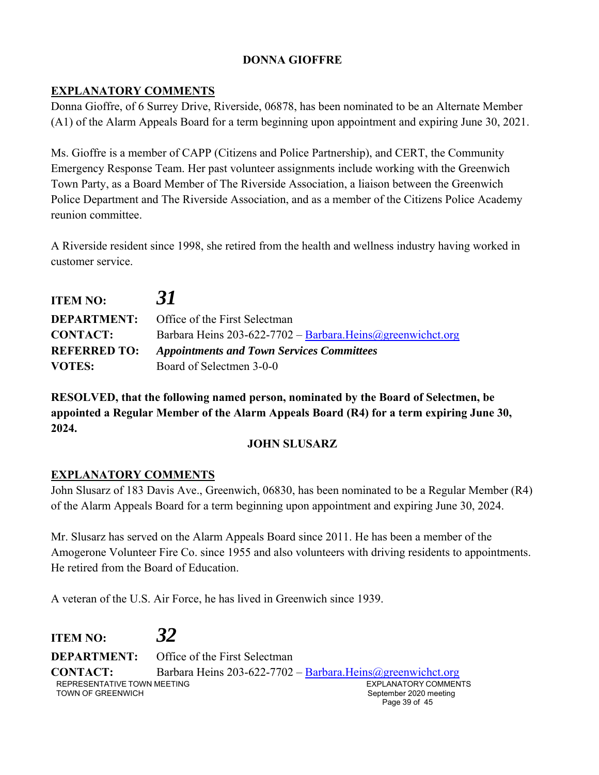# **DONNA GIOFFRE**

## **EXPLANATORY COMMENTS**

Donna Gioffre, of 6 Surrey Drive, Riverside, 06878, has been nominated to be an Alternate Member (A1) of the Alarm Appeals Board for a term beginning upon appointment and expiring June 30, 2021.

Ms. Gioffre is a member of CAPP (Citizens and Police Partnership), and CERT, the Community Emergency Response Team. Her past volunteer assignments include working with the Greenwich Town Party, as a Board Member of The Riverside Association, a liaison between the Greenwich Police Department and The Riverside Association, and as a member of the Citizens Police Academy reunion committee.

A Riverside resident since 1998, she retired from the health and wellness industry having worked in customer service.

| <b>ITEM NO:</b>     | 31                                                           |
|---------------------|--------------------------------------------------------------|
| <b>DEPARTMENT:</b>  | <b>Office of the First Selectman</b>                         |
| <b>CONTACT:</b>     | Barbara Heins 203-622-7702 - Barbara. Heins @greenwichct.org |
| <b>REFERRED TO:</b> | <b>Appointments and Town Services Committees</b>             |
| <b>VOTES:</b>       | Board of Selectmen 3-0-0                                     |

**RESOLVED, that the following named person, nominated by the Board of Selectmen, be appointed a Regular Member of the Alarm Appeals Board (R4) for a term expiring June 30, 2024.** 

#### **JOHN SLUSARZ**

## **EXPLANATORY COMMENTS**

John Slusarz of 183 Davis Ave., Greenwich, 06830, has been nominated to be a Regular Member (R4) of the Alarm Appeals Board for a term beginning upon appointment and expiring June 30, 2024.

Mr. Slusarz has served on the Alarm Appeals Board since 2011. He has been a member of the Amogerone Volunteer Fire Co. since 1955 and also volunteers with driving residents to appointments. He retired from the Board of Education.

A veteran of the U.S. Air Force, he has lived in Greenwich since 1939.

REPRESENTATIVE TOWN MEETING TOWN OF GREENWICH EXPLANATORY COMMENTS September 2020 meeting Page 39 of 45 **ITEM NO:** *32* **DEPARTMENT:** Office of the First Selectman **CONTACT:** Barbara Heins 203-622-7702 – Barbara.Heins@greenwichct.org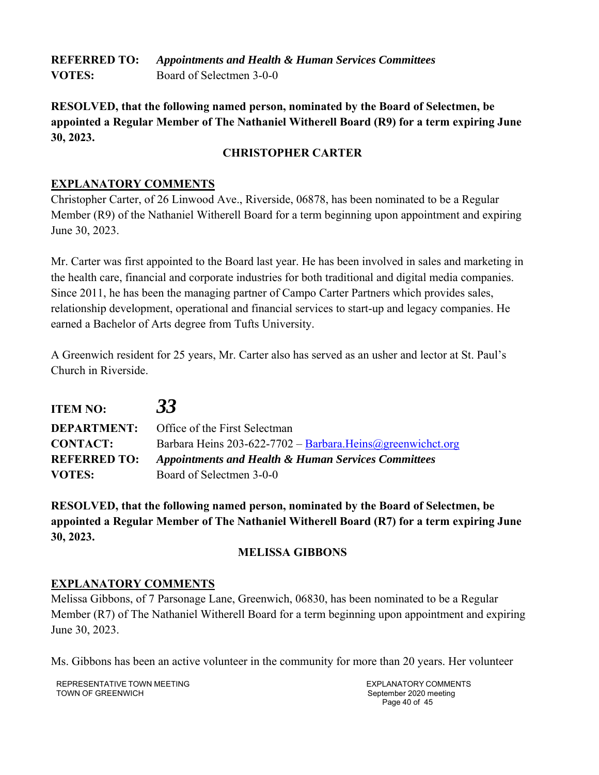**REFERRED TO:** *Appointments and Health & Human Services Committees*  **VOTES:** Board of Selectmen 3-0-0

**RESOLVED, that the following named person, nominated by the Board of Selectmen, be appointed a Regular Member of The Nathaniel Witherell Board (R9) for a term expiring June 30, 2023.** 

## **CHRISTOPHER CARTER**

## **EXPLANATORY COMMENTS**

Christopher Carter, of 26 Linwood Ave., Riverside, 06878, has been nominated to be a Regular Member (R9) of the Nathaniel Witherell Board for a term beginning upon appointment and expiring June 30, 2023.

Mr. Carter was first appointed to the Board last year. He has been involved in sales and marketing in the health care, financial and corporate industries for both traditional and digital media companies. Since 2011, he has been the managing partner of Campo Carter Partners which provides sales, relationship development, operational and financial services to start-up and legacy companies. He earned a Bachelor of Arts degree from Tufts University.

A Greenwich resident for 25 years, Mr. Carter also has served as an usher and lector at St. Paul's Church in Riverside.

| <b>ITEM NO:</b>     | 33                                                             |
|---------------------|----------------------------------------------------------------|
|                     | <b>DEPARTMENT:</b> Office of the First Selectman               |
| <b>CONTACT:</b>     | Barbara Heins 203-622-7702 - Barbara. Heins @greenwichct.org   |
| <b>REFERRED TO:</b> | <b>Appointments and Health &amp; Human Services Committees</b> |
| <b>VOTES:</b>       | Board of Selectmen 3-0-0                                       |

**RESOLVED, that the following named person, nominated by the Board of Selectmen, be appointed a Regular Member of The Nathaniel Witherell Board (R7) for a term expiring June 30, 2023.** 

## **MELISSA GIBBONS**

## **EXPLANATORY COMMENTS**

Melissa Gibbons, of 7 Parsonage Lane, Greenwich, 06830, has been nominated to be a Regular Member (R7) of The Nathaniel Witherell Board for a term beginning upon appointment and expiring June 30, 2023.

Ms. Gibbons has been an active volunteer in the community for more than 20 years. Her volunteer

REPRESENTATIVE TOWN MEETING TOWN OF GREENWICH

EXPLANATORY COMMENTS September 2020 meeting Page 40 of 45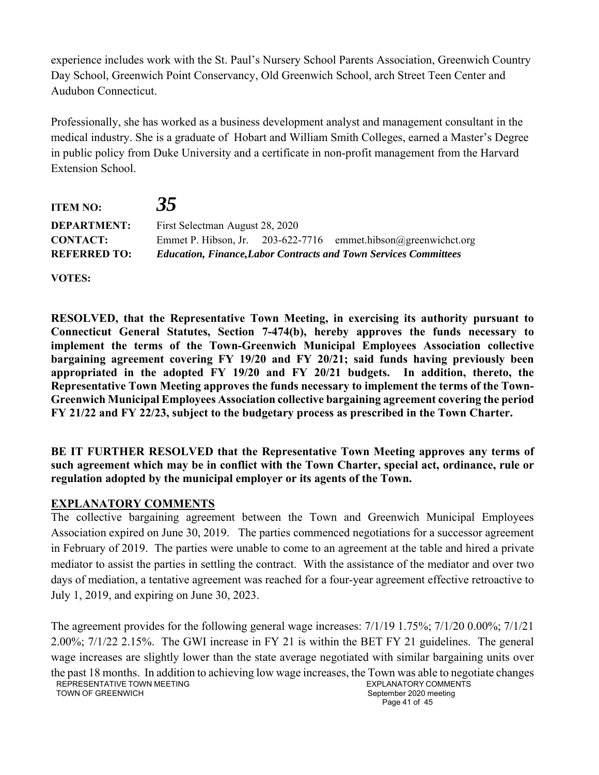experience includes work with the St. Paul's Nursery School Parents Association, Greenwich Country Day School, Greenwich Point Conservancy, Old Greenwich School, arch Street Teen Center and Audubon Connecticut.

Professionally, she has worked as a business development analyst and management consultant in the medical industry. She is a graduate of Hobart and William Smith Colleges, earned a Master's Degree in public policy from Duke University and a certificate in non-profit management from the Harvard Extension School.

| <b>ITEM NO:</b>     | 35                              |                                                                         |
|---------------------|---------------------------------|-------------------------------------------------------------------------|
| <b>DEPARTMENT:</b>  | First Selectman August 28, 2020 |                                                                         |
| <b>CONTACT:</b>     |                                 | Emmet P. Hibson, Jr. $203-622-7716$ emmet.hibson@greenwichct.org        |
| <b>REFERRED TO:</b> |                                 | <b>Education, Finance, Labor Contracts and Town Services Committees</b> |

**VOTES:** 

**RESOLVED, that the Representative Town Meeting, in exercising its authority pursuant to Connecticut General Statutes, Section 7-474(b), hereby approves the funds necessary to implement the terms of the Town-Greenwich Municipal Employees Association collective bargaining agreement covering FY 19/20 and FY 20/21; said funds having previously been appropriated in the adopted FY 19/20 and FY 20/21 budgets. In addition, thereto, the Representative Town Meeting approves the funds necessary to implement the terms of the Town-Greenwich Municipal Employees Association collective bargaining agreement covering the period FY 21/22 and FY 22/23, subject to the budgetary process as prescribed in the Town Charter.** 

**BE IT FURTHER RESOLVED that the Representative Town Meeting approves any terms of such agreement which may be in conflict with the Town Charter, special act, ordinance, rule or regulation adopted by the municipal employer or its agents of the Town.** 

## **EXPLANATORY COMMENTS**

The collective bargaining agreement between the Town and Greenwich Municipal Employees Association expired on June 30, 2019. The parties commenced negotiations for a successor agreement in February of 2019. The parties were unable to come to an agreement at the table and hired a private mediator to assist the parties in settling the contract. With the assistance of the mediator and over two days of mediation, a tentative agreement was reached for a four-year agreement effective retroactive to July 1, 2019, and expiring on June 30, 2023.

REPRESENTATIVE TOWN MEETING TOWN OF GREENWICH EXPLANATORY COMMENTS September 2020 meeting Page 41 of 45 The agreement provides for the following general wage increases: 7/1/19 1.75%; 7/1/20 0.00%; 7/1/21 2.00%; 7/1/22 2.15%. The GWI increase in FY 21 is within the BET FY 21 guidelines. The general wage increases are slightly lower than the state average negotiated with similar bargaining units over the past 18 months. In addition to achieving low wage increases, the Town was able to negotiate changes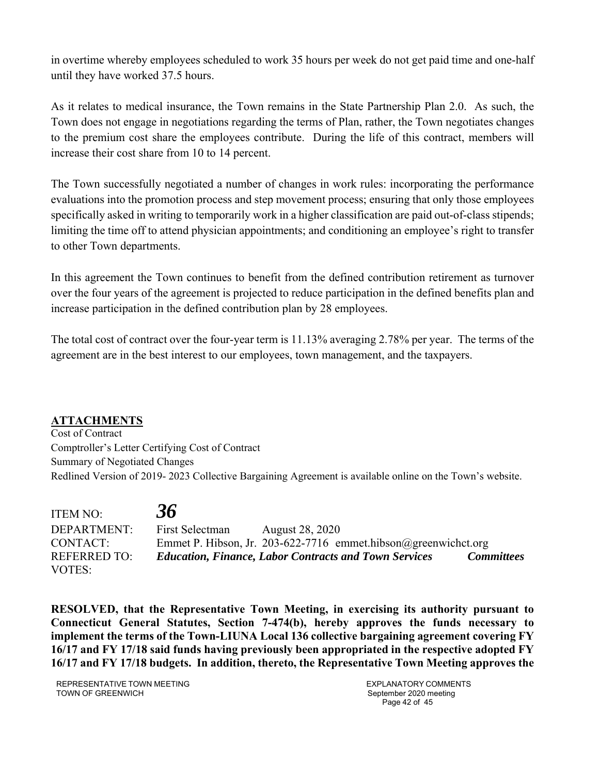in overtime whereby employees scheduled to work 35 hours per week do not get paid time and one-half until they have worked 37.5 hours.

As it relates to medical insurance, the Town remains in the State Partnership Plan 2.0. As such, the Town does not engage in negotiations regarding the terms of Plan, rather, the Town negotiates changes to the premium cost share the employees contribute. During the life of this contract, members will increase their cost share from 10 to 14 percent.

The Town successfully negotiated a number of changes in work rules: incorporating the performance evaluations into the promotion process and step movement process; ensuring that only those employees specifically asked in writing to temporarily work in a higher classification are paid out-of-class stipends; limiting the time off to attend physician appointments; and conditioning an employee's right to transfer to other Town departments.

In this agreement the Town continues to benefit from the defined contribution retirement as turnover over the four years of the agreement is projected to reduce participation in the defined benefits plan and increase participation in the defined contribution plan by 28 employees.

The total cost of contract over the four-year term is 11.13% averaging 2.78% per year. The terms of the agreement are in the best interest to our employees, town management, and the taxpayers.

#### **ATTACHMENTS**

Cost of Contract Comptroller's Letter Certifying Cost of Contract Summary of Negotiated Changes Redlined Version of 2019- 2023 Collective Bargaining Agreement is available online on the Town's website.

ITEM NO: *36* DEPARTMENT: First Selectman August 28, 2020 CONTACT: Emmet P. Hibson, Jr. 203-622-7716 emmet.hibson@greenwichct.org REFERRED TO: *Education, Finance, Labor Contracts and Town Services Committees* VOTES:

**RESOLVED, that the Representative Town Meeting, in exercising its authority pursuant to Connecticut General Statutes, Section 7-474(b), hereby approves the funds necessary to implement the terms of the Town-LIUNA Local 136 collective bargaining agreement covering FY 16/17 and FY 17/18 said funds having previously been appropriated in the respective adopted FY 16/17 and FY 17/18 budgets. In addition, thereto, the Representative Town Meeting approves the** 

REPRESENTATIVE TOWN MEETING TOWN OF GREENWICH

EXPLANATORY COMMENTS September 2020 meeting Page 42 of 45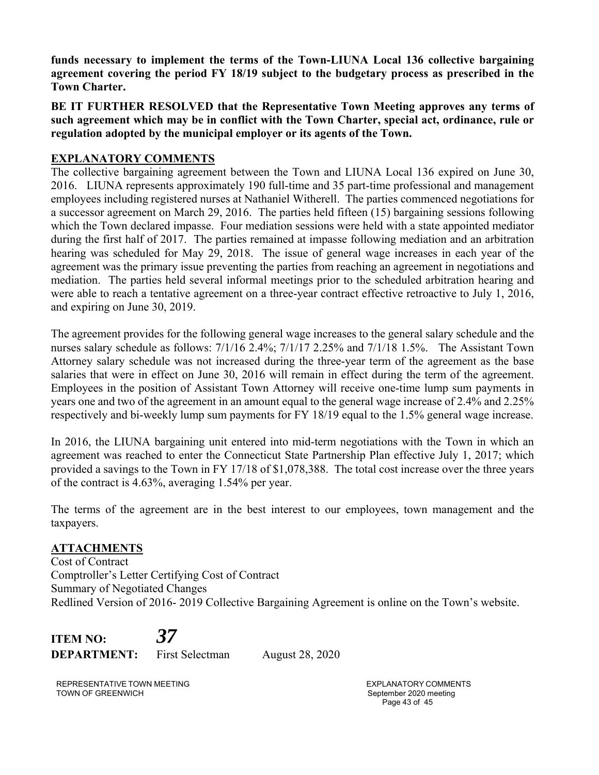**funds necessary to implement the terms of the Town-LIUNA Local 136 collective bargaining agreement covering the period FY 18/19 subject to the budgetary process as prescribed in the Town Charter.** 

**BE IT FURTHER RESOLVED that the Representative Town Meeting approves any terms of such agreement which may be in conflict with the Town Charter, special act, ordinance, rule or regulation adopted by the municipal employer or its agents of the Town.** 

## **EXPLANATORY COMMENTS**

The collective bargaining agreement between the Town and LIUNA Local 136 expired on June 30, 2016. LIUNA represents approximately 190 full-time and 35 part-time professional and management employees including registered nurses at Nathaniel Witherell. The parties commenced negotiations for a successor agreement on March 29, 2016. The parties held fifteen (15) bargaining sessions following which the Town declared impasse. Four mediation sessions were held with a state appointed mediator during the first half of 2017. The parties remained at impasse following mediation and an arbitration hearing was scheduled for May 29, 2018. The issue of general wage increases in each year of the agreement was the primary issue preventing the parties from reaching an agreement in negotiations and mediation. The parties held several informal meetings prior to the scheduled arbitration hearing and were able to reach a tentative agreement on a three-year contract effective retroactive to July 1, 2016, and expiring on June 30, 2019.

The agreement provides for the following general wage increases to the general salary schedule and the nurses salary schedule as follows: 7/1/16 2.4%; 7/1/17 2.25% and 7/1/18 1.5%. The Assistant Town Attorney salary schedule was not increased during the three-year term of the agreement as the base salaries that were in effect on June 30, 2016 will remain in effect during the term of the agreement. Employees in the position of Assistant Town Attorney will receive one-time lump sum payments in years one and two of the agreement in an amount equal to the general wage increase of 2.4% and 2.25% respectively and bi-weekly lump sum payments for FY 18/19 equal to the 1.5% general wage increase.

In 2016, the LIUNA bargaining unit entered into mid-term negotiations with the Town in which an agreement was reached to enter the Connecticut State Partnership Plan effective July 1, 2017; which provided a savings to the Town in FY 17/18 of \$1,078,388. The total cost increase over the three years of the contract is 4.63%, averaging 1.54% per year.

The terms of the agreement are in the best interest to our employees, town management and the taxpayers.

## **ATTACHMENTS**

Cost of Contract Comptroller's Letter Certifying Cost of Contract Summary of Negotiated Changes Redlined Version of 2016- 2019 Collective Bargaining Agreement is online on the Town's website.

**ITEM NO:** *37* **DEPARTMENT:** First Selectman August 28, 2020

REPRESENTATIVE TOWN MEETING TOWN OF GREENWICH

EXPLANATORY COMMENTS September 2020 meeting Page 43 of 45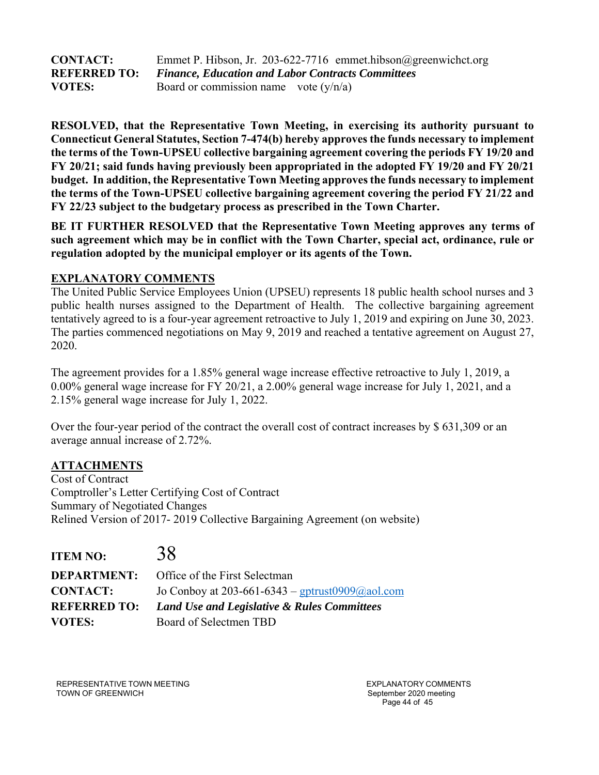| <b>CONTACT:</b>     | Emmet P. Hibson, Jr. 203-622-7716 emmet.hibson@greenwichct.org |
|---------------------|----------------------------------------------------------------|
| <b>REFERRED TO:</b> | <b>Finance, Education and Labor Contracts Committees</b>       |
| <b>VOTES:</b>       | Board or commission name vote $(y/n/a)$                        |

**RESOLVED, that the Representative Town Meeting, in exercising its authority pursuant to Connecticut General Statutes, Section 7-474(b) hereby approves the funds necessary to implement the terms of the Town-UPSEU collective bargaining agreement covering the periods FY 19/20 and FY 20/21; said funds having previously been appropriated in the adopted FY 19/20 and FY 20/21 budget. In addition, the Representative Town Meeting approves the funds necessary to implement the terms of the Town-UPSEU collective bargaining agreement covering the period FY 21/22 and FY 22/23 subject to the budgetary process as prescribed in the Town Charter.** 

**BE IT FURTHER RESOLVED that the Representative Town Meeting approves any terms of such agreement which may be in conflict with the Town Charter, special act, ordinance, rule or regulation adopted by the municipal employer or its agents of the Town.** 

## **EXPLANATORY COMMENTS**

The United Public Service Employees Union (UPSEU) represents 18 public health school nurses and 3 public health nurses assigned to the Department of Health. The collective bargaining agreement tentatively agreed to is a four-year agreement retroactive to July 1, 2019 and expiring on June 30, 2023. The parties commenced negotiations on May 9, 2019 and reached a tentative agreement on August 27, 2020.

The agreement provides for a 1.85% general wage increase effective retroactive to July 1, 2019, a 0.00% general wage increase for FY 20/21, a 2.00% general wage increase for July 1, 2021, and a 2.15% general wage increase for July 1, 2022.

Over the four-year period of the contract the overall cost of contract increases by \$ 631,309 or an average annual increase of 2.72%.

#### **ATTACHMENTS**

Cost of Contract Comptroller's Letter Certifying Cost of Contract Summary of Negotiated Changes Relined Version of 2017- 2019 Collective Bargaining Agreement (on website)

| <b>ITEM NO:</b>     | 38                                              |
|---------------------|-------------------------------------------------|
| <b>DEPARTMENT:</b>  | Office of the First Selectman                   |
| <b>CONTACT:</b>     | Jo Conboy at 203-661-6343 – gptrust0909@aol.com |
| <b>REFERRED TO:</b> | Land Use and Legislative & Rules Committees     |
| <b>VOTES:</b>       | Board of Selectmen TBD                          |

REPRESENTATIVE TOWN MEETING TOWN OF GREENWICH